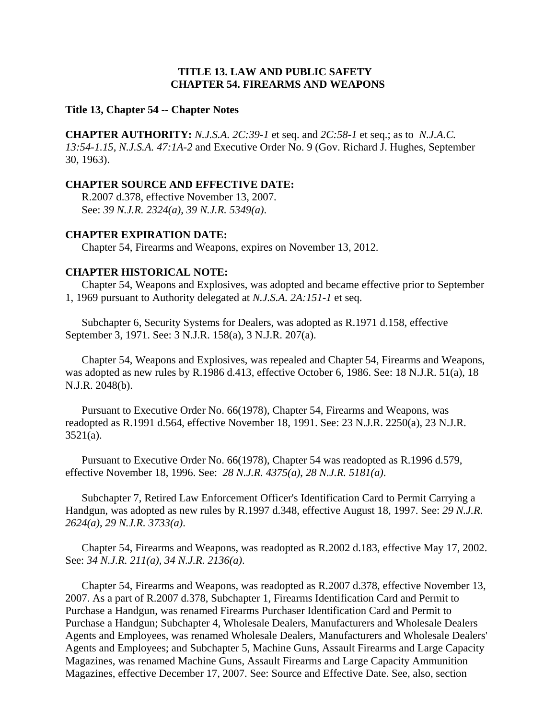### **TITLE 13. LAW AND PUBLIC SAFETY CHAPTER 54. FIREARMS AND WEAPONS**

#### **Title 13, Chapter 54 -- Chapter Notes**

**CHAPTER AUTHORITY:** *N.J.S.A. 2C:39-1* et seq. and *2C:58-1* et seq.; as to *N.J.A.C. 13:54-1.15*, *N.J.S.A. 47:1A-2* and Executive Order No. 9 (Gov. Richard J. Hughes, September 30, 1963).

#### **CHAPTER SOURCE AND EFFECTIVE DATE:**

R.2007 d.378, effective November 13, 2007. See: *39 N.J.R. 2324(a)*, *39 N.J.R. 5349(a)*.

### **CHAPTER EXPIRATION DATE:**

Chapter 54, Firearms and Weapons, expires on November 13, 2012.

#### **CHAPTER HISTORICAL NOTE:**

Chapter 54, Weapons and Explosives, was adopted and became effective prior to September 1, 1969 pursuant to Authority delegated at *N.J.S.A. 2A:151-1* et seq.

Subchapter 6, Security Systems for Dealers, was adopted as R.1971 d.158, effective September 3, 1971. See: 3 N.J.R. 158(a), 3 N.J.R. 207(a).

Chapter 54, Weapons and Explosives, was repealed and Chapter 54, Firearms and Weapons, was adopted as new rules by R.1986 d.413, effective October 6, 1986. See: 18 N.J.R. 51(a), 18 N.J.R. 2048(b).

Pursuant to Executive Order No. 66(1978), Chapter 54, Firearms and Weapons, was readopted as R.1991 d.564, effective November 18, 1991. See: 23 N.J.R. 2250(a), 23 N.J.R. 3521(a).

Pursuant to Executive Order No. 66(1978), Chapter 54 was readopted as R.1996 d.579, effective November 18, 1996. See: *28 N.J.R. 4375(a)*, *28 N.J.R. 5181(a)*.

Subchapter 7, Retired Law Enforcement Officer's Identification Card to Permit Carrying a Handgun, was adopted as new rules by R.1997 d.348, effective August 18, 1997. See: *29 N.J.R. 2624(a)*, *29 N.J.R. 3733(a)*.

Chapter 54, Firearms and Weapons, was readopted as R.2002 d.183, effective May 17, 2002. See: *34 N.J.R. 211(a)*, *34 N.J.R. 2136(a)*.

Chapter 54, Firearms and Weapons, was readopted as R.2007 d.378, effective November 13, 2007. As a part of R.2007 d.378, Subchapter 1, Firearms Identification Card and Permit to Purchase a Handgun, was renamed Firearms Purchaser Identification Card and Permit to Purchase a Handgun; Subchapter 4, Wholesale Dealers, Manufacturers and Wholesale Dealers Agents and Employees, was renamed Wholesale Dealers, Manufacturers and Wholesale Dealers' Agents and Employees; and Subchapter 5, Machine Guns, Assault Firearms and Large Capacity Magazines, was renamed Machine Guns, Assault Firearms and Large Capacity Ammunition Magazines, effective December 17, 2007. See: Source and Effective Date. See, also, section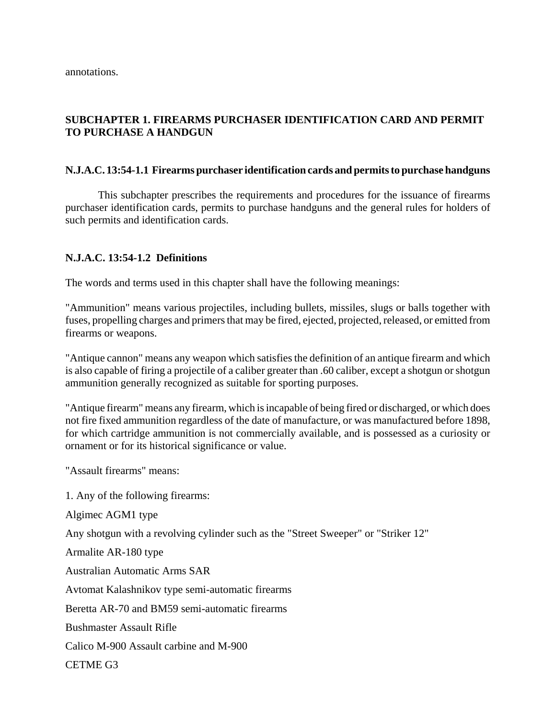# **SUBCHAPTER 1. FIREARMS PURCHASER IDENTIFICATION CARD AND PERMIT TO PURCHASE A HANDGUN**

### **N.J.A.C. 13:54-1.1 Firearms purchaser identification cards and permits to purchase handguns**

This subchapter prescribes the requirements and procedures for the issuance of firearms purchaser identification cards, permits to purchase handguns and the general rules for holders of such permits and identification cards.

### **N.J.A.C. 13:54-1.2 Definitions**

The words and terms used in this chapter shall have the following meanings:

"Ammunition" means various projectiles, including bullets, missiles, slugs or balls together with fuses, propelling charges and primers that may be fired, ejected, projected, released, or emitted from firearms or weapons.

"Antique cannon" means any weapon which satisfies the definition of an antique firearm and which is also capable of firing a projectile of a caliber greater than .60 caliber, except a shotgun or shotgun ammunition generally recognized as suitable for sporting purposes.

"Antique firearm" means any firearm, which is incapable of being fired or discharged, or which does not fire fixed ammunition regardless of the date of manufacture, or was manufactured before 1898, for which cartridge ammunition is not commercially available, and is possessed as a curiosity or ornament or for its historical significance or value.

"Assault firearms" means:

1. Any of the following firearms:

Algimec AGM1 type

Any shotgun with a revolving cylinder such as the "Street Sweeper" or "Striker 12"

Armalite AR-180 type

Australian Automatic Arms SAR

Avtomat Kalashnikov type semi-automatic firearms

Beretta AR-70 and BM59 semi-automatic firearms

Bushmaster Assault Rifle

Calico M-900 Assault carbine and M-900

CETME G3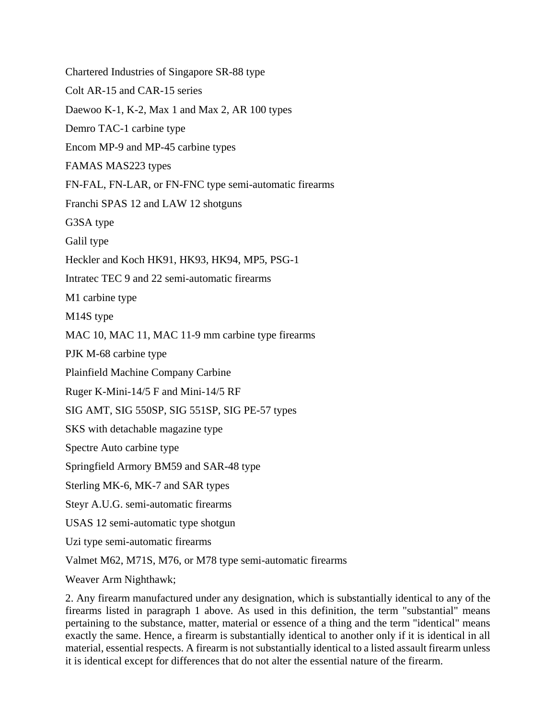Chartered Industries of Singapore SR-88 type Colt AR-15 and CAR-15 series Daewoo K-1, K-2, Max 1 and Max 2, AR 100 types Demro TAC-1 carbine type Encom MP-9 and MP-45 carbine types FAMAS MAS223 types FN-FAL, FN-LAR, or FN-FNC type semi-automatic firearms Franchi SPAS 12 and LAW 12 shotguns G3SA type Galil type Heckler and Koch HK91, HK93, HK94, MP5, PSG-1 Intratec TEC 9 and 22 semi-automatic firearms M1 carbine type M14S type MAC 10, MAC 11, MAC 11-9 mm carbine type firearms PJK M-68 carbine type Plainfield Machine Company Carbine Ruger K-Mini-14/5 F and Mini-14/5 RF SIG AMT, SIG 550SP, SIG 551SP, SIG PE-57 types SKS with detachable magazine type Spectre Auto carbine type Springfield Armory BM59 and SAR-48 type Sterling MK-6, MK-7 and SAR types Steyr A.U.G. semi-automatic firearms USAS 12 semi-automatic type shotgun Uzi type semi-automatic firearms Valmet M62, M71S, M76, or M78 type semi-automatic firearms Weaver Arm Nighthawk;

2. Any firearm manufactured under any designation, which is substantially identical to any of the firearms listed in paragraph 1 above. As used in this definition, the term "substantial" means pertaining to the substance, matter, material or essence of a thing and the term "identical" means exactly the same. Hence, a firearm is substantially identical to another only if it is identical in all material, essential respects. A firearm is not substantially identical to a listed assault firearm unless it is identical except for differences that do not alter the essential nature of the firearm.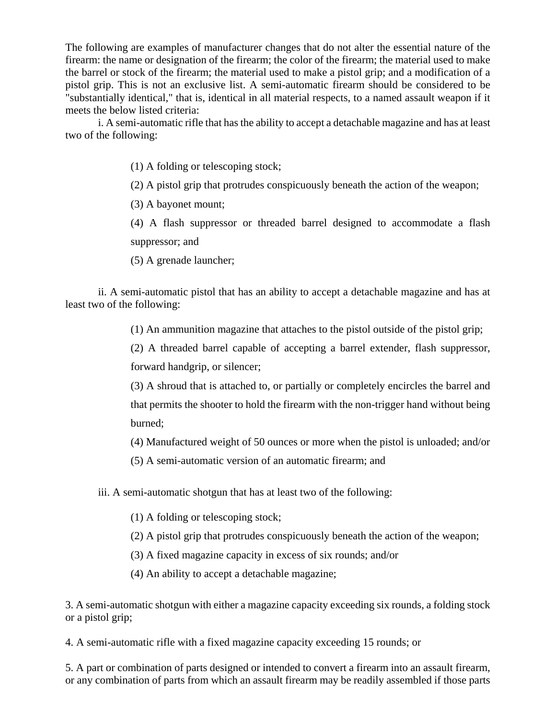The following are examples of manufacturer changes that do not alter the essential nature of the firearm: the name or designation of the firearm; the color of the firearm; the material used to make the barrel or stock of the firearm; the material used to make a pistol grip; and a modification of a pistol grip. This is not an exclusive list. A semi-automatic firearm should be considered to be "substantially identical," that is, identical in all material respects, to a named assault weapon if it meets the below listed criteria:

i. A semi-automatic rifle that has the ability to accept a detachable magazine and has at least two of the following:

(1) A folding or telescoping stock;

(2) A pistol grip that protrudes conspicuously beneath the action of the weapon;

(3) A bayonet mount;

(4) A flash suppressor or threaded barrel designed to accommodate a flash suppressor; and

(5) A grenade launcher;

ii. A semi-automatic pistol that has an ability to accept a detachable magazine and has at least two of the following:

(1) An ammunition magazine that attaches to the pistol outside of the pistol grip;

(2) A threaded barrel capable of accepting a barrel extender, flash suppressor, forward handgrip, or silencer;

(3) A shroud that is attached to, or partially or completely encircles the barrel and that permits the shooter to hold the firearm with the non-trigger hand without being burned;

(4) Manufactured weight of 50 ounces or more when the pistol is unloaded; and/or

(5) A semi-automatic version of an automatic firearm; and

iii. A semi-automatic shotgun that has at least two of the following:

(1) A folding or telescoping stock;

(2) A pistol grip that protrudes conspicuously beneath the action of the weapon;

(3) A fixed magazine capacity in excess of six rounds; and/or

(4) An ability to accept a detachable magazine;

3. A semi-automatic shotgun with either a magazine capacity exceeding six rounds, a folding stock or a pistol grip;

4. A semi-automatic rifle with a fixed magazine capacity exceeding 15 rounds; or

5. A part or combination of parts designed or intended to convert a firearm into an assault firearm, or any combination of parts from which an assault firearm may be readily assembled if those parts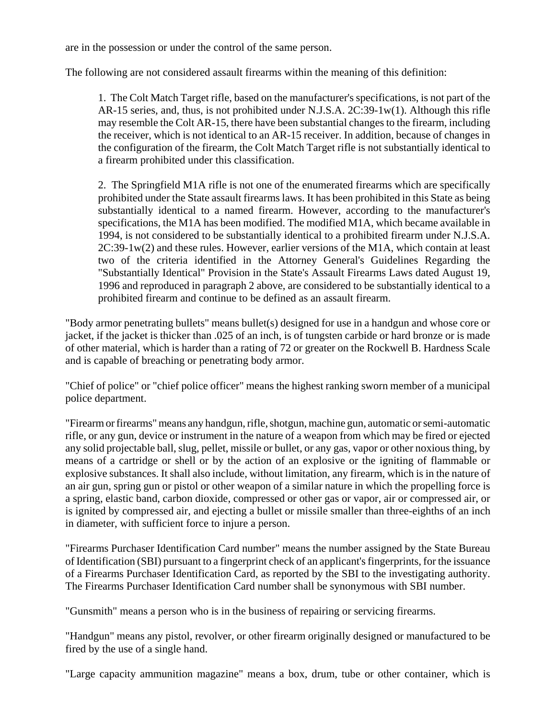are in the possession or under the control of the same person.

The following are not considered assault firearms within the meaning of this definition:

1. The Colt Match Target rifle, based on the manufacturer's specifications, is not part of the AR-15 series, and, thus, is not prohibited under N.J.S.A. 2C:39-1w(1). Although this rifle may resemble the Colt AR-15, there have been substantial changes to the firearm, including the receiver, which is not identical to an AR-15 receiver. In addition, because of changes in the configuration of the firearm, the Colt Match Target rifle is not substantially identical to a firearm prohibited under this classification.

2. The Springfield M1A rifle is not one of the enumerated firearms which are specifically prohibited under the State assault firearms laws. It has been prohibited in this State as being substantially identical to a named firearm. However, according to the manufacturer's specifications, the M1A has been modified. The modified M1A, which became available in 1994, is not considered to be substantially identical to a prohibited firearm under N.J.S.A. 2C:39-1w(2) and these rules. However, earlier versions of the M1A, which contain at least two of the criteria identified in the Attorney General's Guidelines Regarding the "Substantially Identical" Provision in the State's Assault Firearms Laws dated August 19, 1996 and reproduced in paragraph 2 above, are considered to be substantially identical to a prohibited firearm and continue to be defined as an assault firearm.

"Body armor penetrating bullets" means bullet(s) designed for use in a handgun and whose core or jacket, if the jacket is thicker than .025 of an inch, is of tungsten carbide or hard bronze or is made of other material, which is harder than a rating of 72 or greater on the Rockwell B. Hardness Scale and is capable of breaching or penetrating body armor.

"Chief of police" or "chief police officer" means the highest ranking sworn member of a municipal police department.

"Firearm or firearms" means any handgun, rifle, shotgun, machine gun, automatic or semi-automatic rifle, or any gun, device or instrument in the nature of a weapon from which may be fired or ejected any solid projectable ball, slug, pellet, missile or bullet, or any gas, vapor or other noxious thing, by means of a cartridge or shell or by the action of an explosive or the igniting of flammable or explosive substances. It shall also include, without limitation, any firearm, which is in the nature of an air gun, spring gun or pistol or other weapon of a similar nature in which the propelling force is a spring, elastic band, carbon dioxide, compressed or other gas or vapor, air or compressed air, or is ignited by compressed air, and ejecting a bullet or missile smaller than three-eighths of an inch in diameter, with sufficient force to injure a person.

"Firearms Purchaser Identification Card number" means the number assigned by the State Bureau of Identification (SBI) pursuant to a fingerprint check of an applicant's fingerprints, for the issuance of a Firearms Purchaser Identification Card, as reported by the SBI to the investigating authority. The Firearms Purchaser Identification Card number shall be synonymous with SBI number.

"Gunsmith" means a person who is in the business of repairing or servicing firearms.

"Handgun" means any pistol, revolver, or other firearm originally designed or manufactured to be fired by the use of a single hand.

"Large capacity ammunition magazine" means a box, drum, tube or other container, which is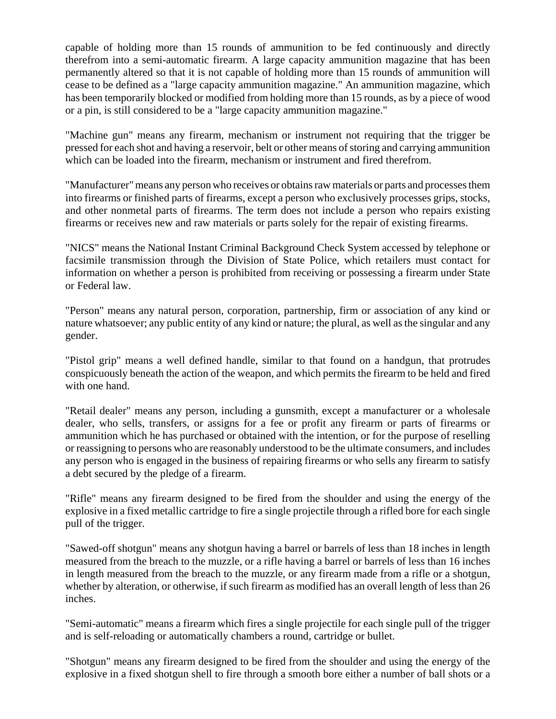capable of holding more than 15 rounds of ammunition to be fed continuously and directly therefrom into a semi-automatic firearm. A large capacity ammunition magazine that has been permanently altered so that it is not capable of holding more than 15 rounds of ammunition will cease to be defined as a "large capacity ammunition magazine." An ammunition magazine, which has been temporarily blocked or modified from holding more than 15 rounds, as by a piece of wood or a pin, is still considered to be a "large capacity ammunition magazine."

"Machine gun" means any firearm, mechanism or instrument not requiring that the trigger be pressed for each shot and having a reservoir, belt or other means of storing and carrying ammunition which can be loaded into the firearm, mechanism or instrument and fired therefrom.

"Manufacturer" means any person who receives or obtains raw materials or parts and processes them into firearms or finished parts of firearms, except a person who exclusively processes grips, stocks, and other nonmetal parts of firearms. The term does not include a person who repairs existing firearms or receives new and raw materials or parts solely for the repair of existing firearms.

"NICS" means the National Instant Criminal Background Check System accessed by telephone or facsimile transmission through the Division of State Police, which retailers must contact for information on whether a person is prohibited from receiving or possessing a firearm under State or Federal law.

"Person" means any natural person, corporation, partnership, firm or association of any kind or nature whatsoever; any public entity of any kind or nature; the plural, as well as the singular and any gender.

"Pistol grip" means a well defined handle, similar to that found on a handgun, that protrudes conspicuously beneath the action of the weapon, and which permits the firearm to be held and fired with one hand.

"Retail dealer" means any person, including a gunsmith, except a manufacturer or a wholesale dealer, who sells, transfers, or assigns for a fee or profit any firearm or parts of firearms or ammunition which he has purchased or obtained with the intention, or for the purpose of reselling or reassigning to persons who are reasonably understood to be the ultimate consumers, and includes any person who is engaged in the business of repairing firearms or who sells any firearm to satisfy a debt secured by the pledge of a firearm.

"Rifle" means any firearm designed to be fired from the shoulder and using the energy of the explosive in a fixed metallic cartridge to fire a single projectile through a rifled bore for each single pull of the trigger.

"Sawed-off shotgun" means any shotgun having a barrel or barrels of less than 18 inches in length measured from the breach to the muzzle, or a rifle having a barrel or barrels of less than 16 inches in length measured from the breach to the muzzle, or any firearm made from a rifle or a shotgun, whether by alteration, or otherwise, if such firearm as modified has an overall length of less than 26 inches.

"Semi-automatic" means a firearm which fires a single projectile for each single pull of the trigger and is self-reloading or automatically chambers a round, cartridge or bullet.

"Shotgun" means any firearm designed to be fired from the shoulder and using the energy of the explosive in a fixed shotgun shell to fire through a smooth bore either a number of ball shots or a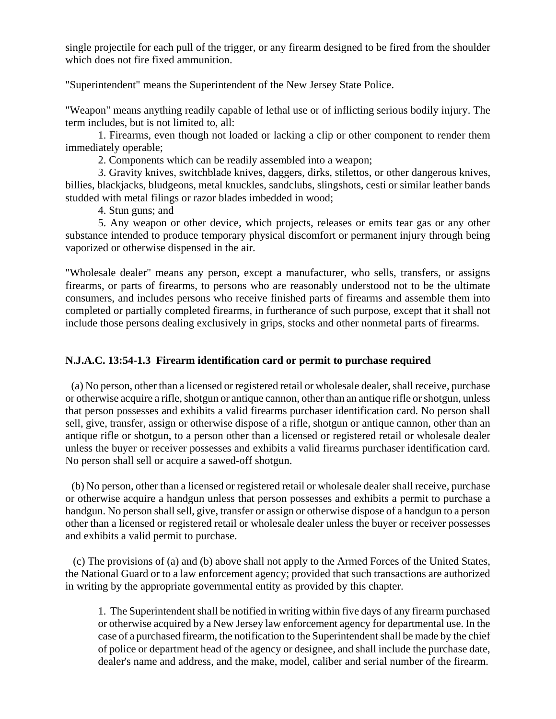single projectile for each pull of the trigger, or any firearm designed to be fired from the shoulder which does not fire fixed ammunition.

"Superintendent" means the Superintendent of the New Jersey State Police.

"Weapon" means anything readily capable of lethal use or of inflicting serious bodily injury. The term includes, but is not limited to, all:

1. Firearms, even though not loaded or lacking a clip or other component to render them immediately operable;

2. Components which can be readily assembled into a weapon;

3. Gravity knives, switchblade knives, daggers, dirks, stilettos, or other dangerous knives, billies, blackjacks, bludgeons, metal knuckles, sandclubs, slingshots, cesti or similar leather bands studded with metal filings or razor blades imbedded in wood;

4. Stun guns; and

5. Any weapon or other device, which projects, releases or emits tear gas or any other substance intended to produce temporary physical discomfort or permanent injury through being vaporized or otherwise dispensed in the air.

"Wholesale dealer" means any person, except a manufacturer, who sells, transfers, or assigns firearms, or parts of firearms, to persons who are reasonably understood not to be the ultimate consumers, and includes persons who receive finished parts of firearms and assemble them into completed or partially completed firearms, in furtherance of such purpose, except that it shall not include those persons dealing exclusively in grips, stocks and other nonmetal parts of firearms.

# **N.J.A.C. 13:54-1.3 Firearm identification card or permit to purchase required**

 (a) No person, other than a licensed or registered retail or wholesale dealer, shall receive, purchase or otherwise acquire a rifle, shotgun or antique cannon, other than an antique rifle or shotgun, unless that person possesses and exhibits a valid firearms purchaser identification card. No person shall sell, give, transfer, assign or otherwise dispose of a rifle, shotgun or antique cannon, other than an antique rifle or shotgun, to a person other than a licensed or registered retail or wholesale dealer unless the buyer or receiver possesses and exhibits a valid firearms purchaser identification card. No person shall sell or acquire a sawed-off shotgun.

 (b) No person, other than a licensed or registered retail or wholesale dealer shall receive, purchase or otherwise acquire a handgun unless that person possesses and exhibits a permit to purchase a handgun. No person shall sell, give, transfer or assign or otherwise dispose of a handgun to a person other than a licensed or registered retail or wholesale dealer unless the buyer or receiver possesses and exhibits a valid permit to purchase.

 (c) The provisions of (a) and (b) above shall not apply to the Armed Forces of the United States, the National Guard or to a law enforcement agency; provided that such transactions are authorized in writing by the appropriate governmental entity as provided by this chapter.

1. The Superintendent shall be notified in writing within five days of any firearm purchased or otherwise acquired by a New Jersey law enforcement agency for departmental use. In the case of a purchased firearm, the notification to the Superintendent shall be made by the chief of police or department head of the agency or designee, and shall include the purchase date, dealer's name and address, and the make, model, caliber and serial number of the firearm.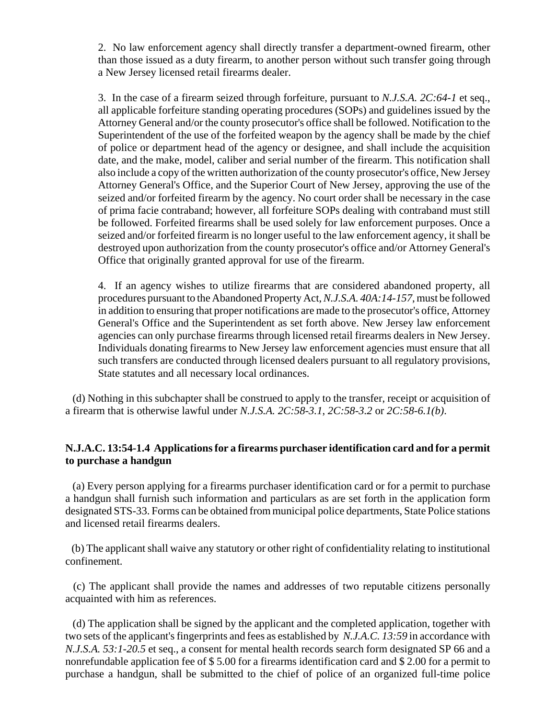2. No law enforcement agency shall directly transfer a department-owned firearm, other than those issued as a duty firearm, to another person without such transfer going through a New Jersey licensed retail firearms dealer.

3. In the case of a firearm seized through forfeiture, pursuant to *N.J.S.A. 2C:64-1* et seq., all applicable forfeiture standing operating procedures (SOPs) and guidelines issued by the Attorney General and/or the county prosecutor's office shall be followed. Notification to the Superintendent of the use of the forfeited weapon by the agency shall be made by the chief of police or department head of the agency or designee, and shall include the acquisition date, and the make, model, caliber and serial number of the firearm. This notification shall also include a copy of the written authorization of the county prosecutor's office, New Jersey Attorney General's Office, and the Superior Court of New Jersey, approving the use of the seized and/or forfeited firearm by the agency. No court order shall be necessary in the case of prima facie contraband; however, all forfeiture SOPs dealing with contraband must still be followed. Forfeited firearms shall be used solely for law enforcement purposes. Once a seized and/or forfeited firearm is no longer useful to the law enforcement agency, it shall be destroyed upon authorization from the county prosecutor's office and/or Attorney General's Office that originally granted approval for use of the firearm.

4. If an agency wishes to utilize firearms that are considered abandoned property, all procedures pursuant to the Abandoned Property Act, *N.J.S.A. 40A:14-157*, must be followed in addition to ensuring that proper notifications are made to the prosecutor's office, Attorney General's Office and the Superintendent as set forth above. New Jersey law enforcement agencies can only purchase firearms through licensed retail firearms dealers in New Jersey. Individuals donating firearms to New Jersey law enforcement agencies must ensure that all such transfers are conducted through licensed dealers pursuant to all regulatory provisions, State statutes and all necessary local ordinances.

 (d) Nothing in this subchapter shall be construed to apply to the transfer, receipt or acquisition of a firearm that is otherwise lawful under *N.J.S.A. 2C:58-3.1*, *2C:58-3.2* or *2C:58-6.1(b)*.

# **N.J.A.C. 13:54-1.4 Applications for a firearms purchaser identification card and for a permit to purchase a handgun**

 (a) Every person applying for a firearms purchaser identification card or for a permit to purchase a handgun shall furnish such information and particulars as are set forth in the application form designated STS-33. Forms can be obtained from municipal police departments, State Police stations and licensed retail firearms dealers.

 (b) The applicant shall waive any statutory or other right of confidentiality relating to institutional confinement.

 (c) The applicant shall provide the names and addresses of two reputable citizens personally acquainted with him as references.

 (d) The application shall be signed by the applicant and the completed application, together with two sets of the applicant's fingerprints and fees as established by *N.J.A.C. 13:59* in accordance with *N.J.S.A. 53:1-20.5* et seq., a consent for mental health records search form designated SP 66 and a nonrefundable application fee of \$ 5.00 for a firearms identification card and \$ 2.00 for a permit to purchase a handgun, shall be submitted to the chief of police of an organized full-time police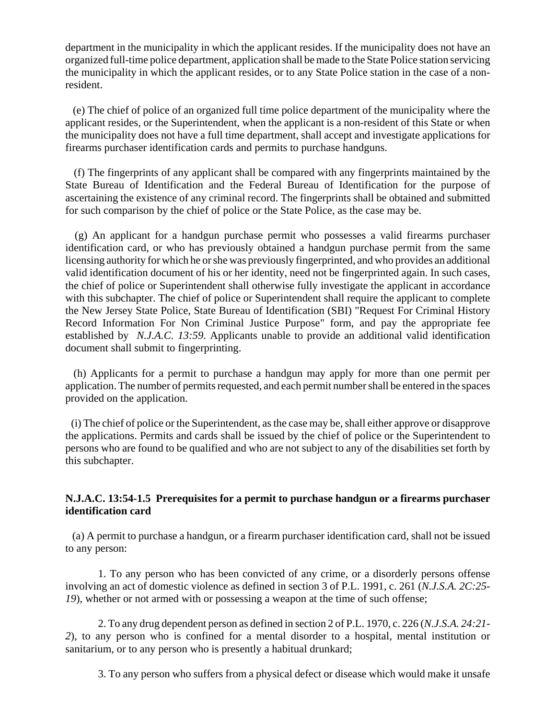department in the municipality in which the applicant resides. If the municipality does not have an organized full-time police department, application shall be made to the State Police station servicing the municipality in which the applicant resides, or to any State Police station in the case of a nonresident.

 (e) The chief of police of an organized full time police department of the municipality where the applicant resides, or the Superintendent, when the applicant is a non-resident of this State or when the municipality does not have a full time department, shall accept and investigate applications for firearms purchaser identification cards and permits to purchase handguns.

 (f) The fingerprints of any applicant shall be compared with any fingerprints maintained by the State Bureau of Identification and the Federal Bureau of Identification for the purpose of ascertaining the existence of any criminal record. The fingerprints shall be obtained and submitted for such comparison by the chief of police or the State Police, as the case may be.

 (g) An applicant for a handgun purchase permit who possesses a valid firearms purchaser identification card, or who has previously obtained a handgun purchase permit from the same licensing authority for which he or she was previously fingerprinted, and who provides an additional valid identification document of his or her identity, need not be fingerprinted again. In such cases, the chief of police or Superintendent shall otherwise fully investigate the applicant in accordance with this subchapter. The chief of police or Superintendent shall require the applicant to complete the New Jersey State Police, State Bureau of Identification (SBI) "Request For Criminal History Record Information For Non Criminal Justice Purpose" form, and pay the appropriate fee established by *N.J.A.C. 13:59*. Applicants unable to provide an additional valid identification document shall submit to fingerprinting.

 (h) Applicants for a permit to purchase a handgun may apply for more than one permit per application. The number of permits requested, and each permit number shall be entered in the spaces provided on the application.

 (i) The chief of police or the Superintendent, as the case may be, shall either approve or disapprove the applications. Permits and cards shall be issued by the chief of police or the Superintendent to persons who are found to be qualified and who are not subject to any of the disabilities set forth by this subchapter.

# **N.J.A.C. 13:54-1.5 Prerequisites for a permit to purchase handgun or a firearms purchaser identification card**

 (a) A permit to purchase a handgun, or a firearm purchaser identification card, shall not be issued to any person:

1. To any person who has been convicted of any crime, or a disorderly persons offense involving an act of domestic violence as defined in section 3 of P.L. 1991, c. 261 (*N.J.S.A. 2C:25- 19*), whether or not armed with or possessing a weapon at the time of such offense;

2. To any drug dependent person as defined in section 2 of P.L. 1970, c. 226 (*N.J.S.A. 24:21- 2*), to any person who is confined for a mental disorder to a hospital, mental institution or sanitarium, or to any person who is presently a habitual drunkard;

3. To any person who suffers from a physical defect or disease which would make it unsafe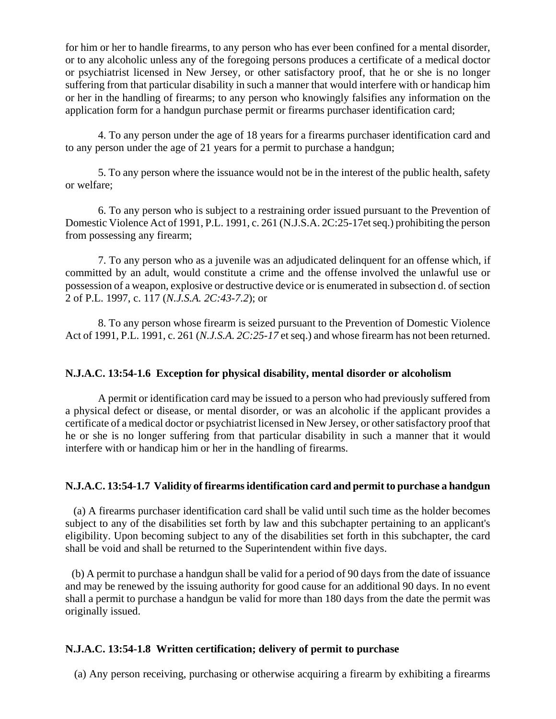for him or her to handle firearms, to any person who has ever been confined for a mental disorder, or to any alcoholic unless any of the foregoing persons produces a certificate of a medical doctor or psychiatrist licensed in New Jersey, or other satisfactory proof, that he or she is no longer suffering from that particular disability in such a manner that would interfere with or handicap him or her in the handling of firearms; to any person who knowingly falsifies any information on the application form for a handgun purchase permit or firearms purchaser identification card;

4. To any person under the age of 18 years for a firearms purchaser identification card and to any person under the age of 21 years for a permit to purchase a handgun;

5. To any person where the issuance would not be in the interest of the public health, safety or welfare;

6. To any person who is subject to a restraining order issued pursuant to the Prevention of Domestic Violence Act of 1991, P.L. 1991, c. 261 (N.J.S.A. 2C:25-17et seq.) prohibiting the person from possessing any firearm;

7. To any person who as a juvenile was an adjudicated delinquent for an offense which, if committed by an adult, would constitute a crime and the offense involved the unlawful use or possession of a weapon, explosive or destructive device or is enumerated in subsection d. of section 2 of P.L. 1997, c. 117 (*N.J.S.A. 2C:43-7.2*); or

8. To any person whose firearm is seized pursuant to the Prevention of Domestic Violence Act of 1991, P.L. 1991, c. 261 (*N.J.S.A. 2C:25-17* et seq.) and whose firearm has not been returned.

# **N.J.A.C. 13:54-1.6 Exception for physical disability, mental disorder or alcoholism**

A permit or identification card may be issued to a person who had previously suffered from a physical defect or disease, or mental disorder, or was an alcoholic if the applicant provides a certificate of a medical doctor or psychiatrist licensed in New Jersey, or other satisfactory proof that he or she is no longer suffering from that particular disability in such a manner that it would interfere with or handicap him or her in the handling of firearms.

### **N.J.A.C. 13:54-1.7 Validity of firearms identification card and permit to purchase a handgun**

 (a) A firearms purchaser identification card shall be valid until such time as the holder becomes subject to any of the disabilities set forth by law and this subchapter pertaining to an applicant's eligibility. Upon becoming subject to any of the disabilities set forth in this subchapter, the card shall be void and shall be returned to the Superintendent within five days.

 (b) A permit to purchase a handgun shall be valid for a period of 90 days from the date of issuance and may be renewed by the issuing authority for good cause for an additional 90 days. In no event shall a permit to purchase a handgun be valid for more than 180 days from the date the permit was originally issued.

# **N.J.A.C. 13:54-1.8 Written certification; delivery of permit to purchase**

(a) Any person receiving, purchasing or otherwise acquiring a firearm by exhibiting a firearms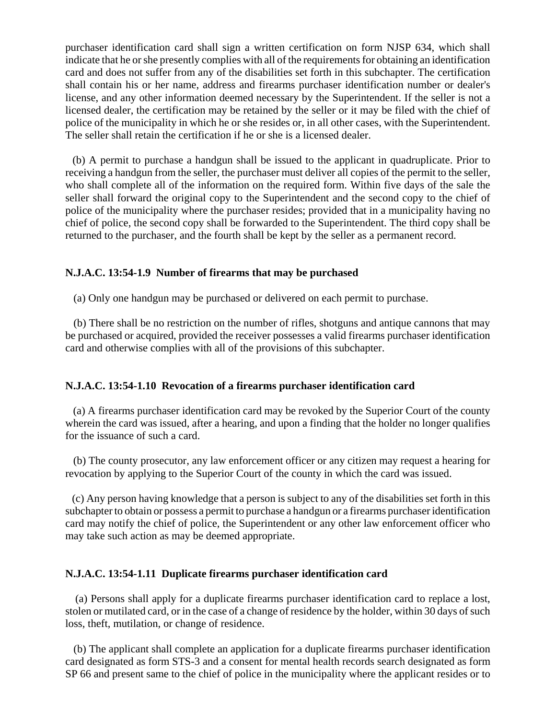purchaser identification card shall sign a written certification on form NJSP 634, which shall indicate that he or she presently complies with all of the requirements for obtaining an identification card and does not suffer from any of the disabilities set forth in this subchapter. The certification shall contain his or her name, address and firearms purchaser identification number or dealer's license, and any other information deemed necessary by the Superintendent. If the seller is not a licensed dealer, the certification may be retained by the seller or it may be filed with the chief of police of the municipality in which he or she resides or, in all other cases, with the Superintendent. The seller shall retain the certification if he or she is a licensed dealer.

 (b) A permit to purchase a handgun shall be issued to the applicant in quadruplicate. Prior to receiving a handgun from the seller, the purchaser must deliver all copies of the permit to the seller, who shall complete all of the information on the required form. Within five days of the sale the seller shall forward the original copy to the Superintendent and the second copy to the chief of police of the municipality where the purchaser resides; provided that in a municipality having no chief of police, the second copy shall be forwarded to the Superintendent. The third copy shall be returned to the purchaser, and the fourth shall be kept by the seller as a permanent record.

### **N.J.A.C. 13:54-1.9 Number of firearms that may be purchased**

(a) Only one handgun may be purchased or delivered on each permit to purchase.

 (b) There shall be no restriction on the number of rifles, shotguns and antique cannons that may be purchased or acquired, provided the receiver possesses a valid firearms purchaser identification card and otherwise complies with all of the provisions of this subchapter.

### **N.J.A.C. 13:54-1.10 Revocation of a firearms purchaser identification card**

 (a) A firearms purchaser identification card may be revoked by the Superior Court of the county wherein the card was issued, after a hearing, and upon a finding that the holder no longer qualifies for the issuance of such a card.

 (b) The county prosecutor, any law enforcement officer or any citizen may request a hearing for revocation by applying to the Superior Court of the county in which the card was issued.

 (c) Any person having knowledge that a person is subject to any of the disabilities set forth in this subchapter to obtain or possess a permit to purchase a handgun or a firearms purchaser identification card may notify the chief of police, the Superintendent or any other law enforcement officer who may take such action as may be deemed appropriate.

#### **N.J.A.C. 13:54-1.11 Duplicate firearms purchaser identification card**

 (a) Persons shall apply for a duplicate firearms purchaser identification card to replace a lost, stolen or mutilated card, or in the case of a change of residence by the holder, within 30 days of such loss, theft, mutilation, or change of residence.

 (b) The applicant shall complete an application for a duplicate firearms purchaser identification card designated as form STS-3 and a consent for mental health records search designated as form SP 66 and present same to the chief of police in the municipality where the applicant resides or to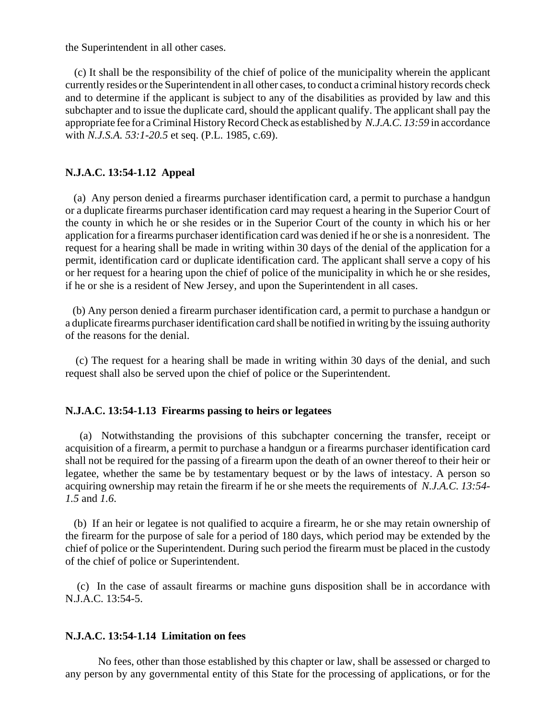the Superintendent in all other cases.

 (c) It shall be the responsibility of the chief of police of the municipality wherein the applicant currently resides or the Superintendent in all other cases, to conduct a criminal history records check and to determine if the applicant is subject to any of the disabilities as provided by law and this subchapter and to issue the duplicate card, should the applicant qualify. The applicant shall pay the appropriate fee for a Criminal History Record Check as established by *N.J.A.C. 13:59* in accordance with *N.J.S.A. 53:1-20.5* et seq. (P.L. 1985, c.69).

#### **N.J.A.C. 13:54-1.12 Appeal**

 (a) Any person denied a firearms purchaser identification card, a permit to purchase a handgun or a duplicate firearms purchaser identification card may request a hearing in the Superior Court of the county in which he or she resides or in the Superior Court of the county in which his or her application for a firearms purchaser identification card was denied if he or she is a nonresident. The request for a hearing shall be made in writing within 30 days of the denial of the application for a permit, identification card or duplicate identification card. The applicant shall serve a copy of his or her request for a hearing upon the chief of police of the municipality in which he or she resides, if he or she is a resident of New Jersey, and upon the Superintendent in all cases.

 (b) Any person denied a firearm purchaser identification card, a permit to purchase a handgun or a duplicate firearms purchaser identification card shall be notified in writing by the issuing authority of the reasons for the denial.

 (c) The request for a hearing shall be made in writing within 30 days of the denial, and such request shall also be served upon the chief of police or the Superintendent.

#### **N.J.A.C. 13:54-1.13 Firearms passing to heirs or legatees**

 (a) Notwithstanding the provisions of this subchapter concerning the transfer, receipt or acquisition of a firearm, a permit to purchase a handgun or a firearms purchaser identification card shall not be required for the passing of a firearm upon the death of an owner thereof to their heir or legatee, whether the same be by testamentary bequest or by the laws of intestacy. A person so acquiring ownership may retain the firearm if he or she meets the requirements of *N.J.A.C. 13:54- 1.5* and *1.6*.

 (b) If an heir or legatee is not qualified to acquire a firearm, he or she may retain ownership of the firearm for the purpose of sale for a period of 180 days, which period may be extended by the chief of police or the Superintendent. During such period the firearm must be placed in the custody of the chief of police or Superintendent.

 (c) In the case of assault firearms or machine guns disposition shall be in accordance with N.J.A.C. 13:54-5.

#### **N.J.A.C. 13:54-1.14 Limitation on fees**

No fees, other than those established by this chapter or law, shall be assessed or charged to any person by any governmental entity of this State for the processing of applications, or for the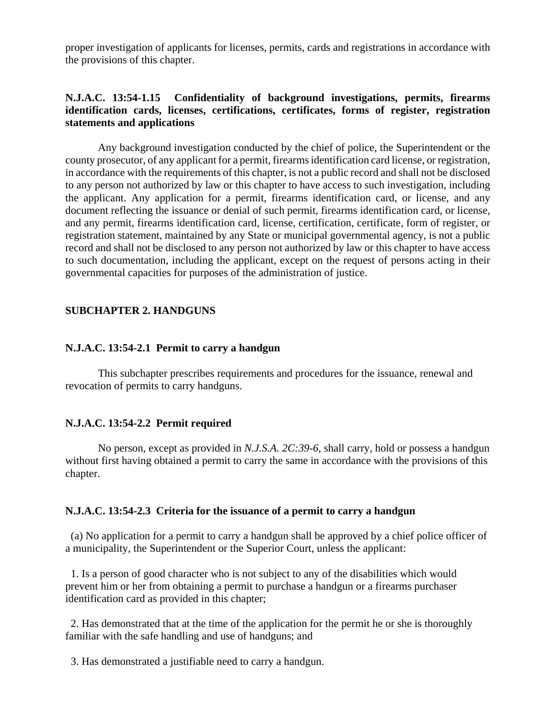proper investigation of applicants for licenses, permits, cards and registrations in accordance with the provisions of this chapter.

# **N.J.A.C. 13:54-1.15 Confidentiality of background investigations, permits, firearms identification cards, licenses, certifications, certificates, forms of register, registration statements and applications**

Any background investigation conducted by the chief of police, the Superintendent or the county prosecutor, of any applicant for a permit, firearms identification card license, or registration, in accordance with the requirements of this chapter, is not a public record and shall not be disclosed to any person not authorized by law or this chapter to have access to such investigation, including the applicant. Any application for a permit, firearms identification card, or license, and any document reflecting the issuance or denial of such permit, firearms identification card, or license, and any permit, firearms identification card, license, certification, certificate, form of register, or registration statement, maintained by any State or municipal governmental agency, is not a public record and shall not be disclosed to any person not authorized by law or this chapter to have access to such documentation, including the applicant, except on the request of persons acting in their governmental capacities for purposes of the administration of justice.

# **SUBCHAPTER 2. HANDGUNS**

#### **N.J.A.C. 13:54-2.1 Permit to carry a handgun**

This subchapter prescribes requirements and procedures for the issuance, renewal and revocation of permits to carry handguns.

### **N.J.A.C. 13:54-2.2 Permit required**

No person, except as provided in *N.J.S.A. 2C:39-6*, shall carry, hold or possess a handgun without first having obtained a permit to carry the same in accordance with the provisions of this chapter.

#### **N.J.A.C. 13:54-2.3 Criteria for the issuance of a permit to carry a handgun**

 (a) No application for a permit to carry a handgun shall be approved by a chief police officer of a municipality, the Superintendent or the Superior Court, unless the applicant:

 1. Is a person of good character who is not subject to any of the disabilities which would prevent him or her from obtaining a permit to purchase a handgun or a firearms purchaser identification card as provided in this chapter;

 2. Has demonstrated that at the time of the application for the permit he or she is thoroughly familiar with the safe handling and use of handguns; and

3. Has demonstrated a justifiable need to carry a handgun.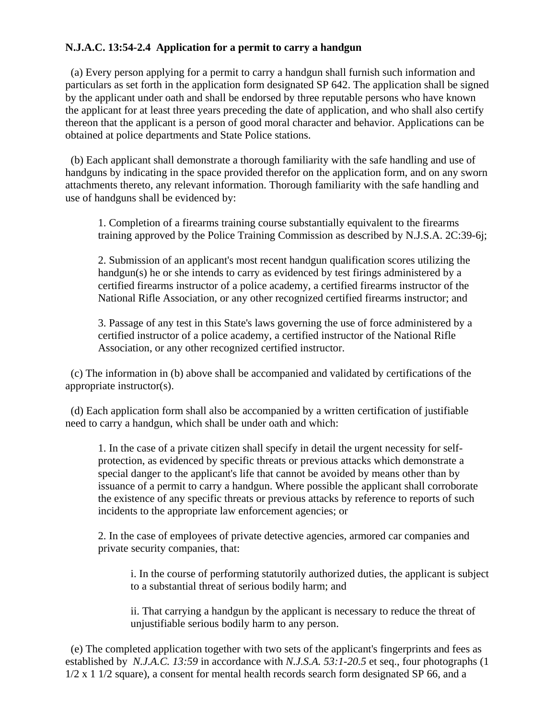# **N.J.A.C. 13:54-2.4 Application for a permit to carry a handgun**

 (a) Every person applying for a permit to carry a handgun shall furnish such information and particulars as set forth in the application form designated SP 642. The application shall be signed by the applicant under oath and shall be endorsed by three reputable persons who have known the applicant for at least three years preceding the date of application, and who shall also certify thereon that the applicant is a person of good moral character and behavior. Applications can be obtained at police departments and State Police stations.

 (b) Each applicant shall demonstrate a thorough familiarity with the safe handling and use of handguns by indicating in the space provided therefor on the application form, and on any sworn attachments thereto, any relevant information. Thorough familiarity with the safe handling and use of handguns shall be evidenced by:

1. Completion of a firearms training course substantially equivalent to the firearms training approved by the Police Training Commission as described by N.J.S.A. 2C:39-6j;

2. Submission of an applicant's most recent handgun qualification scores utilizing the handgun(s) he or she intends to carry as evidenced by test firings administered by a certified firearms instructor of a police academy, a certified firearms instructor of the National Rifle Association, or any other recognized certified firearms instructor; and

3. Passage of any test in this State's laws governing the use of force administered by a certified instructor of a police academy, a certified instructor of the National Rifle Association, or any other recognized certified instructor.

 (c) The information in (b) above shall be accompanied and validated by certifications of the appropriate instructor(s).

 (d) Each application form shall also be accompanied by a written certification of justifiable need to carry a handgun, which shall be under oath and which:

1. In the case of a private citizen shall specify in detail the urgent necessity for selfprotection, as evidenced by specific threats or previous attacks which demonstrate a special danger to the applicant's life that cannot be avoided by means other than by issuance of a permit to carry a handgun. Where possible the applicant shall corroborate the existence of any specific threats or previous attacks by reference to reports of such incidents to the appropriate law enforcement agencies; or

2. In the case of employees of private detective agencies, armored car companies and private security companies, that:

i. In the course of performing statutorily authorized duties, the applicant is subject to a substantial threat of serious bodily harm; and

ii. That carrying a handgun by the applicant is necessary to reduce the threat of unjustifiable serious bodily harm to any person.

 (e) The completed application together with two sets of the applicant's fingerprints and fees as established by *N.J.A.C. 13:59* in accordance with *N.J.S.A. 53:1-20.5* et seq., four photographs (1 1/2 x 1 1/2 square), a consent for mental health records search form designated SP 66, and a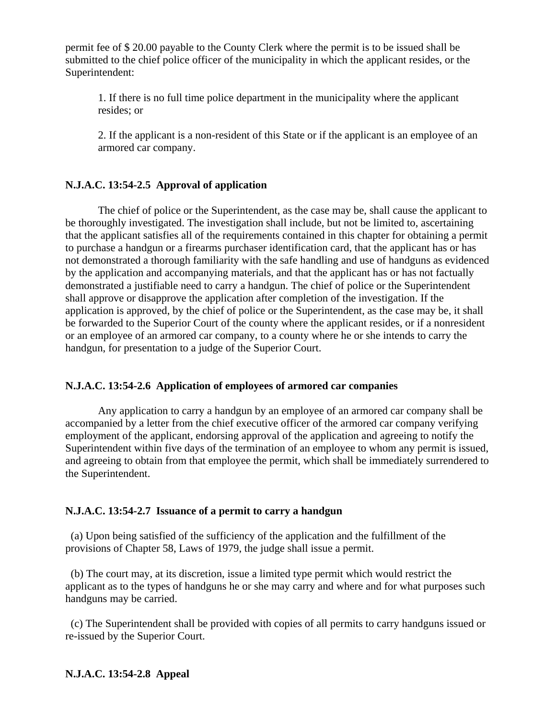permit fee of \$ 20.00 payable to the County Clerk where the permit is to be issued shall be submitted to the chief police officer of the municipality in which the applicant resides, or the Superintendent:

1. If there is no full time police department in the municipality where the applicant resides; or

2. If the applicant is a non-resident of this State or if the applicant is an employee of an armored car company.

# **N.J.A.C. 13:54-2.5 Approval of application**

The chief of police or the Superintendent, as the case may be, shall cause the applicant to be thoroughly investigated. The investigation shall include, but not be limited to, ascertaining that the applicant satisfies all of the requirements contained in this chapter for obtaining a permit to purchase a handgun or a firearms purchaser identification card, that the applicant has or has not demonstrated a thorough familiarity with the safe handling and use of handguns as evidenced by the application and accompanying materials, and that the applicant has or has not factually demonstrated a justifiable need to carry a handgun. The chief of police or the Superintendent shall approve or disapprove the application after completion of the investigation. If the application is approved, by the chief of police or the Superintendent, as the case may be, it shall be forwarded to the Superior Court of the county where the applicant resides, or if a nonresident or an employee of an armored car company, to a county where he or she intends to carry the handgun, for presentation to a judge of the Superior Court.

### **N.J.A.C. 13:54-2.6 Application of employees of armored car companies**

Any application to carry a handgun by an employee of an armored car company shall be accompanied by a letter from the chief executive officer of the armored car company verifying employment of the applicant, endorsing approval of the application and agreeing to notify the Superintendent within five days of the termination of an employee to whom any permit is issued, and agreeing to obtain from that employee the permit, which shall be immediately surrendered to the Superintendent.

### **N.J.A.C. 13:54-2.7 Issuance of a permit to carry a handgun**

 (a) Upon being satisfied of the sufficiency of the application and the fulfillment of the provisions of Chapter 58, Laws of 1979, the judge shall issue a permit.

 (b) The court may, at its discretion, issue a limited type permit which would restrict the applicant as to the types of handguns he or she may carry and where and for what purposes such handguns may be carried.

 (c) The Superintendent shall be provided with copies of all permits to carry handguns issued or re-issued by the Superior Court.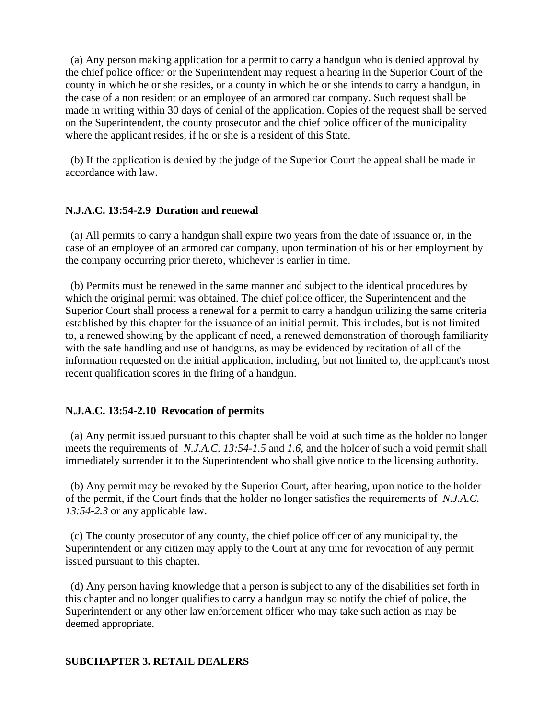(a) Any person making application for a permit to carry a handgun who is denied approval by the chief police officer or the Superintendent may request a hearing in the Superior Court of the county in which he or she resides, or a county in which he or she intends to carry a handgun, in the case of a non resident or an employee of an armored car company. Such request shall be made in writing within 30 days of denial of the application. Copies of the request shall be served on the Superintendent, the county prosecutor and the chief police officer of the municipality where the applicant resides, if he or she is a resident of this State.

 (b) If the application is denied by the judge of the Superior Court the appeal shall be made in accordance with law.

### **N.J.A.C. 13:54-2.9 Duration and renewal**

 (a) All permits to carry a handgun shall expire two years from the date of issuance or, in the case of an employee of an armored car company, upon termination of his or her employment by the company occurring prior thereto, whichever is earlier in time.

 (b) Permits must be renewed in the same manner and subject to the identical procedures by which the original permit was obtained. The chief police officer, the Superintendent and the Superior Court shall process a renewal for a permit to carry a handgun utilizing the same criteria established by this chapter for the issuance of an initial permit. This includes, but is not limited to, a renewed showing by the applicant of need, a renewed demonstration of thorough familiarity with the safe handling and use of handguns, as may be evidenced by recitation of all of the information requested on the initial application, including, but not limited to, the applicant's most recent qualification scores in the firing of a handgun.

#### **N.J.A.C. 13:54-2.10 Revocation of permits**

 (a) Any permit issued pursuant to this chapter shall be void at such time as the holder no longer meets the requirements of *N.J.A.C. 13:54-1.5* and *1.6*, and the holder of such a void permit shall immediately surrender it to the Superintendent who shall give notice to the licensing authority.

 (b) Any permit may be revoked by the Superior Court, after hearing, upon notice to the holder of the permit, if the Court finds that the holder no longer satisfies the requirements of *N.J.A.C. 13:54-2.3* or any applicable law.

 (c) The county prosecutor of any county, the chief police officer of any municipality, the Superintendent or any citizen may apply to the Court at any time for revocation of any permit issued pursuant to this chapter.

 (d) Any person having knowledge that a person is subject to any of the disabilities set forth in this chapter and no longer qualifies to carry a handgun may so notify the chief of police, the Superintendent or any other law enforcement officer who may take such action as may be deemed appropriate.

#### **SUBCHAPTER 3. RETAIL DEALERS**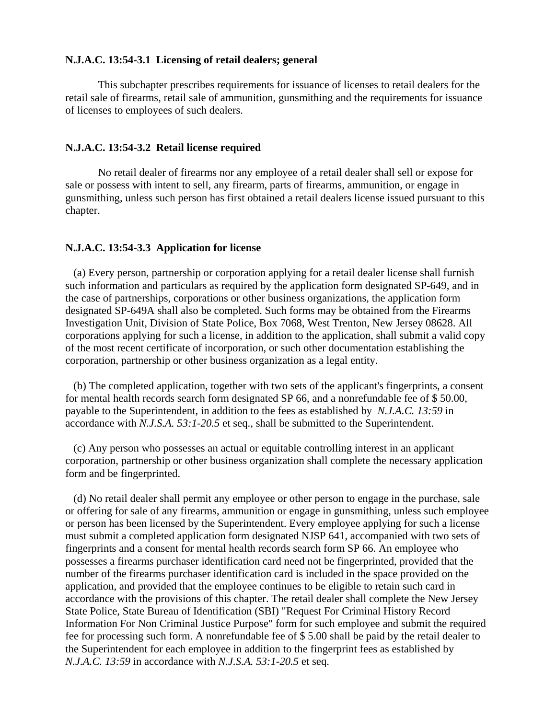## **N.J.A.C. 13:54-3.1 Licensing of retail dealers; general**

This subchapter prescribes requirements for issuance of licenses to retail dealers for the retail sale of firearms, retail sale of ammunition, gunsmithing and the requirements for issuance of licenses to employees of such dealers.

#### **N.J.A.C. 13:54-3.2 Retail license required**

No retail dealer of firearms nor any employee of a retail dealer shall sell or expose for sale or possess with intent to sell, any firearm, parts of firearms, ammunition, or engage in gunsmithing, unless such person has first obtained a retail dealers license issued pursuant to this chapter.

#### **N.J.A.C. 13:54-3.3 Application for license**

 (a) Every person, partnership or corporation applying for a retail dealer license shall furnish such information and particulars as required by the application form designated SP-649, and in the case of partnerships, corporations or other business organizations, the application form designated SP-649A shall also be completed. Such forms may be obtained from the Firearms Investigation Unit, Division of State Police, Box 7068, West Trenton, New Jersey 08628. All corporations applying for such a license, in addition to the application, shall submit a valid copy of the most recent certificate of incorporation, or such other documentation establishing the corporation, partnership or other business organization as a legal entity.

 (b) The completed application, together with two sets of the applicant's fingerprints, a consent for mental health records search form designated SP 66, and a nonrefundable fee of \$ 50.00, payable to the Superintendent, in addition to the fees as established by *N.J.A.C. 13:59* in accordance with *N.J.S.A. 53:1-20.5* et seq., shall be submitted to the Superintendent.

 (c) Any person who possesses an actual or equitable controlling interest in an applicant corporation, partnership or other business organization shall complete the necessary application form and be fingerprinted.

 (d) No retail dealer shall permit any employee or other person to engage in the purchase, sale or offering for sale of any firearms, ammunition or engage in gunsmithing, unless such employee or person has been licensed by the Superintendent. Every employee applying for such a license must submit a completed application form designated NJSP 641, accompanied with two sets of fingerprints and a consent for mental health records search form SP 66. An employee who possesses a firearms purchaser identification card need not be fingerprinted, provided that the number of the firearms purchaser identification card is included in the space provided on the application, and provided that the employee continues to be eligible to retain such card in accordance with the provisions of this chapter. The retail dealer shall complete the New Jersey State Police, State Bureau of Identification (SBI) "Request For Criminal History Record Information For Non Criminal Justice Purpose" form for such employee and submit the required fee for processing such form. A nonrefundable fee of \$ 5.00 shall be paid by the retail dealer to the Superintendent for each employee in addition to the fingerprint fees as established by *N.J.A.C. 13:59* in accordance with *N.J.S.A. 53:1-20.5* et seq.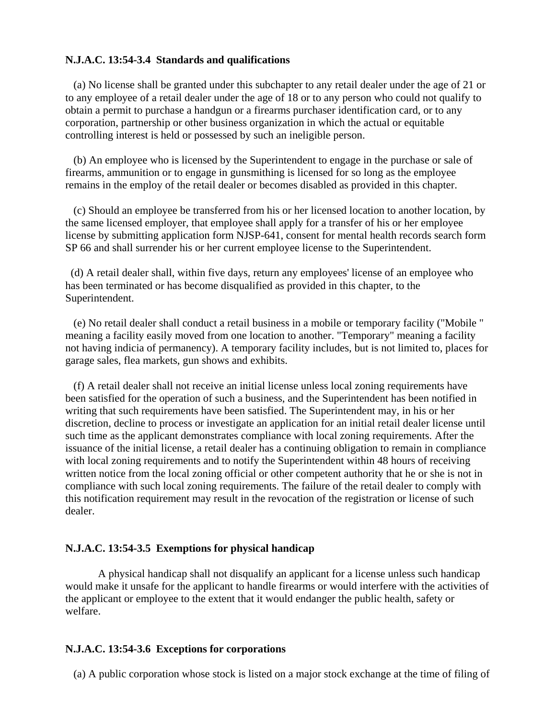#### **N.J.A.C. 13:54-3.4 Standards and qualifications**

 (a) No license shall be granted under this subchapter to any retail dealer under the age of 21 or to any employee of a retail dealer under the age of 18 or to any person who could not qualify to obtain a permit to purchase a handgun or a firearms purchaser identification card, or to any corporation, partnership or other business organization in which the actual or equitable controlling interest is held or possessed by such an ineligible person.

 (b) An employee who is licensed by the Superintendent to engage in the purchase or sale of firearms, ammunition or to engage in gunsmithing is licensed for so long as the employee remains in the employ of the retail dealer or becomes disabled as provided in this chapter.

 (c) Should an employee be transferred from his or her licensed location to another location, by the same licensed employer, that employee shall apply for a transfer of his or her employee license by submitting application form NJSP-641, consent for mental health records search form SP 66 and shall surrender his or her current employee license to the Superintendent.

 (d) A retail dealer shall, within five days, return any employees' license of an employee who has been terminated or has become disqualified as provided in this chapter, to the Superintendent.

 (e) No retail dealer shall conduct a retail business in a mobile or temporary facility ("Mobile " meaning a facility easily moved from one location to another. "Temporary" meaning a facility not having indicia of permanency). A temporary facility includes, but is not limited to, places for garage sales, flea markets, gun shows and exhibits.

 (f) A retail dealer shall not receive an initial license unless local zoning requirements have been satisfied for the operation of such a business, and the Superintendent has been notified in writing that such requirements have been satisfied. The Superintendent may, in his or her discretion, decline to process or investigate an application for an initial retail dealer license until such time as the applicant demonstrates compliance with local zoning requirements. After the issuance of the initial license, a retail dealer has a continuing obligation to remain in compliance with local zoning requirements and to notify the Superintendent within 48 hours of receiving written notice from the local zoning official or other competent authority that he or she is not in compliance with such local zoning requirements. The failure of the retail dealer to comply with this notification requirement may result in the revocation of the registration or license of such dealer.

#### **N.J.A.C. 13:54-3.5 Exemptions for physical handicap**

A physical handicap shall not disqualify an applicant for a license unless such handicap would make it unsafe for the applicant to handle firearms or would interfere with the activities of the applicant or employee to the extent that it would endanger the public health, safety or welfare.

#### **N.J.A.C. 13:54-3.6 Exceptions for corporations**

(a) A public corporation whose stock is listed on a major stock exchange at the time of filing of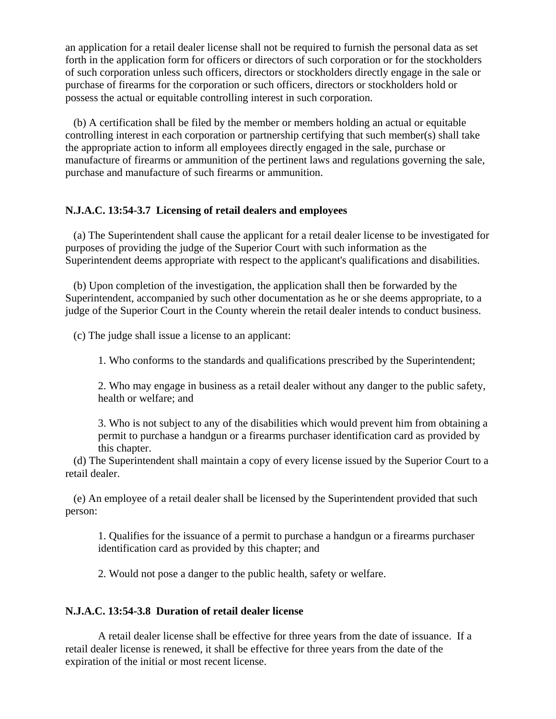an application for a retail dealer license shall not be required to furnish the personal data as set forth in the application form for officers or directors of such corporation or for the stockholders of such corporation unless such officers, directors or stockholders directly engage in the sale or purchase of firearms for the corporation or such officers, directors or stockholders hold or possess the actual or equitable controlling interest in such corporation.

 (b) A certification shall be filed by the member or members holding an actual or equitable controlling interest in each corporation or partnership certifying that such member(s) shall take the appropriate action to inform all employees directly engaged in the sale, purchase or manufacture of firearms or ammunition of the pertinent laws and regulations governing the sale, purchase and manufacture of such firearms or ammunition.

### **N.J.A.C. 13:54-3.7 Licensing of retail dealers and employees**

 (a) The Superintendent shall cause the applicant for a retail dealer license to be investigated for purposes of providing the judge of the Superior Court with such information as the Superintendent deems appropriate with respect to the applicant's qualifications and disabilities.

 (b) Upon completion of the investigation, the application shall then be forwarded by the Superintendent, accompanied by such other documentation as he or she deems appropriate, to a judge of the Superior Court in the County wherein the retail dealer intends to conduct business.

(c) The judge shall issue a license to an applicant:

1. Who conforms to the standards and qualifications prescribed by the Superintendent;

2. Who may engage in business as a retail dealer without any danger to the public safety, health or welfare; and

3. Who is not subject to any of the disabilities which would prevent him from obtaining a permit to purchase a handgun or a firearms purchaser identification card as provided by this chapter.

 (d) The Superintendent shall maintain a copy of every license issued by the Superior Court to a retail dealer.

 (e) An employee of a retail dealer shall be licensed by the Superintendent provided that such person:

1. Qualifies for the issuance of a permit to purchase a handgun or a firearms purchaser identification card as provided by this chapter; and

2. Would not pose a danger to the public health, safety or welfare.

#### **N.J.A.C. 13:54-3.8 Duration of retail dealer license**

A retail dealer license shall be effective for three years from the date of issuance. If a retail dealer license is renewed, it shall be effective for three years from the date of the expiration of the initial or most recent license.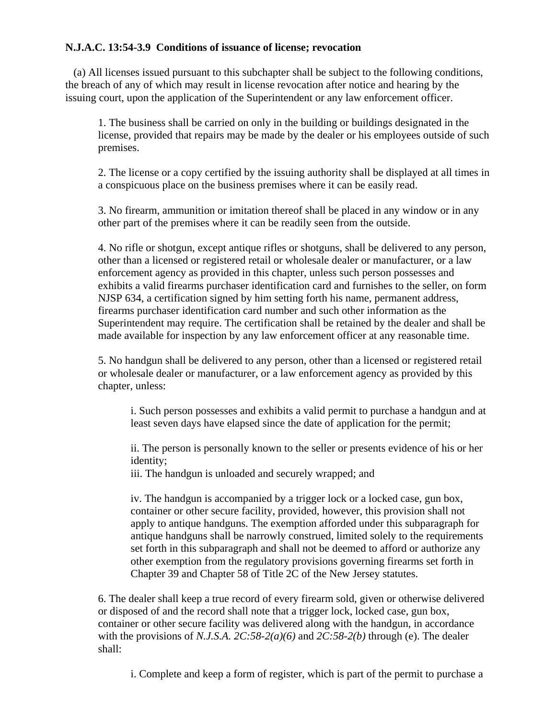# **N.J.A.C. 13:54-3.9 Conditions of issuance of license; revocation**

 (a) All licenses issued pursuant to this subchapter shall be subject to the following conditions, the breach of any of which may result in license revocation after notice and hearing by the issuing court, upon the application of the Superintendent or any law enforcement officer.

1. The business shall be carried on only in the building or buildings designated in the license, provided that repairs may be made by the dealer or his employees outside of such premises.

2. The license or a copy certified by the issuing authority shall be displayed at all times in a conspicuous place on the business premises where it can be easily read.

3. No firearm, ammunition or imitation thereof shall be placed in any window or in any other part of the premises where it can be readily seen from the outside.

4. No rifle or shotgun, except antique rifles or shotguns, shall be delivered to any person, other than a licensed or registered retail or wholesale dealer or manufacturer, or a law enforcement agency as provided in this chapter, unless such person possesses and exhibits a valid firearms purchaser identification card and furnishes to the seller, on form NJSP 634, a certification signed by him setting forth his name, permanent address, firearms purchaser identification card number and such other information as the Superintendent may require. The certification shall be retained by the dealer and shall be made available for inspection by any law enforcement officer at any reasonable time.

5. No handgun shall be delivered to any person, other than a licensed or registered retail or wholesale dealer or manufacturer, or a law enforcement agency as provided by this chapter, unless:

i. Such person possesses and exhibits a valid permit to purchase a handgun and at least seven days have elapsed since the date of application for the permit;

ii. The person is personally known to the seller or presents evidence of his or her identity;

iii. The handgun is unloaded and securely wrapped; and

iv. The handgun is accompanied by a trigger lock or a locked case, gun box, container or other secure facility, provided, however, this provision shall not apply to antique handguns. The exemption afforded under this subparagraph for antique handguns shall be narrowly construed, limited solely to the requirements set forth in this subparagraph and shall not be deemed to afford or authorize any other exemption from the regulatory provisions governing firearms set forth in Chapter 39 and Chapter 58 of Title 2C of the New Jersey statutes.

6. The dealer shall keep a true record of every firearm sold, given or otherwise delivered or disposed of and the record shall note that a trigger lock, locked case, gun box, container or other secure facility was delivered along with the handgun, in accordance with the provisions of *N.J.S.A. 2C:58-2(a)(6)* and *2C:58-2(b)* through (e). The dealer shall:

i. Complete and keep a form of register, which is part of the permit to purchase a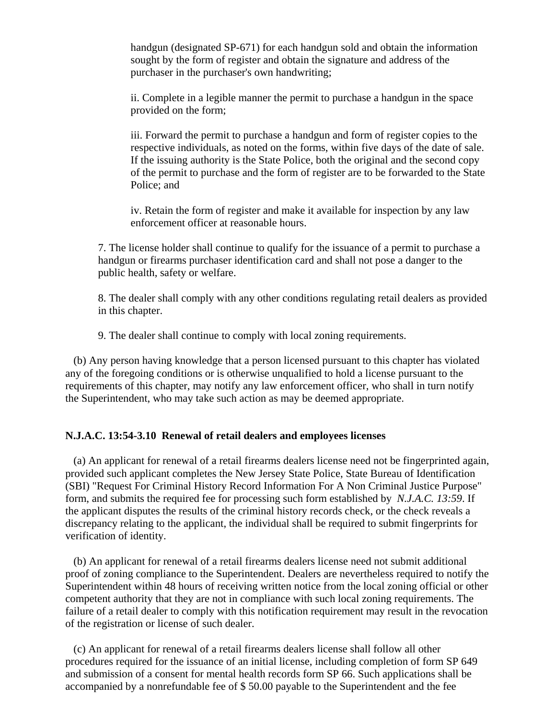handgun (designated SP-671) for each handgun sold and obtain the information sought by the form of register and obtain the signature and address of the purchaser in the purchaser's own handwriting;

ii. Complete in a legible manner the permit to purchase a handgun in the space provided on the form;

iii. Forward the permit to purchase a handgun and form of register copies to the respective individuals, as noted on the forms, within five days of the date of sale. If the issuing authority is the State Police, both the original and the second copy of the permit to purchase and the form of register are to be forwarded to the State Police; and

iv. Retain the form of register and make it available for inspection by any law enforcement officer at reasonable hours.

7. The license holder shall continue to qualify for the issuance of a permit to purchase a handgun or firearms purchaser identification card and shall not pose a danger to the public health, safety or welfare.

8. The dealer shall comply with any other conditions regulating retail dealers as provided in this chapter.

9. The dealer shall continue to comply with local zoning requirements.

 (b) Any person having knowledge that a person licensed pursuant to this chapter has violated any of the foregoing conditions or is otherwise unqualified to hold a license pursuant to the requirements of this chapter, may notify any law enforcement officer, who shall in turn notify the Superintendent, who may take such action as may be deemed appropriate.

### **N.J.A.C. 13:54-3.10 Renewal of retail dealers and employees licenses**

 (a) An applicant for renewal of a retail firearms dealers license need not be fingerprinted again, provided such applicant completes the New Jersey State Police, State Bureau of Identification (SBI) "Request For Criminal History Record Information For A Non Criminal Justice Purpose" form, and submits the required fee for processing such form established by *N.J.A.C. 13:59*. If the applicant disputes the results of the criminal history records check, or the check reveals a discrepancy relating to the applicant, the individual shall be required to submit fingerprints for verification of identity.

 (b) An applicant for renewal of a retail firearms dealers license need not submit additional proof of zoning compliance to the Superintendent. Dealers are nevertheless required to notify the Superintendent within 48 hours of receiving written notice from the local zoning official or other competent authority that they are not in compliance with such local zoning requirements. The failure of a retail dealer to comply with this notification requirement may result in the revocation of the registration or license of such dealer.

 (c) An applicant for renewal of a retail firearms dealers license shall follow all other procedures required for the issuance of an initial license, including completion of form SP 649 and submission of a consent for mental health records form SP 66. Such applications shall be accompanied by a nonrefundable fee of \$ 50.00 payable to the Superintendent and the fee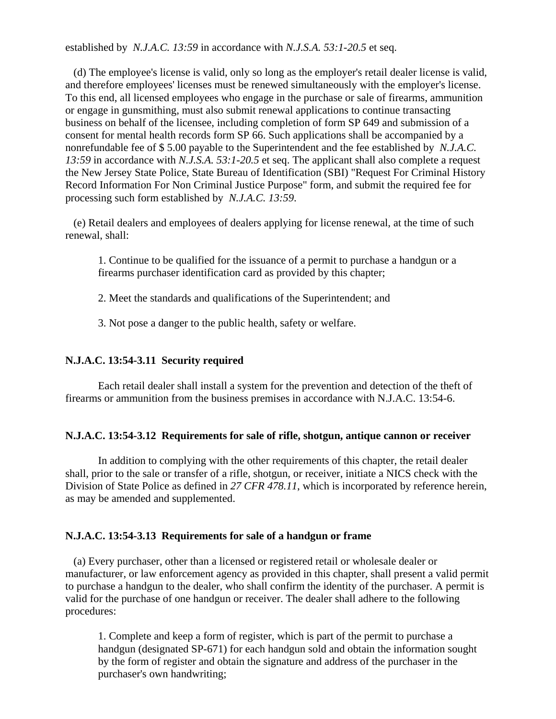established by *N.J.A.C. 13:59* in accordance with *N.J.S.A. 53:1-20.5* et seq.

 (d) The employee's license is valid, only so long as the employer's retail dealer license is valid, and therefore employees' licenses must be renewed simultaneously with the employer's license. To this end, all licensed employees who engage in the purchase or sale of firearms, ammunition or engage in gunsmithing, must also submit renewal applications to continue transacting business on behalf of the licensee, including completion of form SP 649 and submission of a consent for mental health records form SP 66. Such applications shall be accompanied by a nonrefundable fee of \$ 5.00 payable to the Superintendent and the fee established by *N.J.A.C. 13:59* in accordance with *N.J.S.A. 53:1-20.5* et seq. The applicant shall also complete a request the New Jersey State Police, State Bureau of Identification (SBI) "Request For Criminal History Record Information For Non Criminal Justice Purpose" form, and submit the required fee for processing such form established by *N.J.A.C. 13:59*.

 (e) Retail dealers and employees of dealers applying for license renewal, at the time of such renewal, shall:

1. Continue to be qualified for the issuance of a permit to purchase a handgun or a firearms purchaser identification card as provided by this chapter;

2. Meet the standards and qualifications of the Superintendent; and

3. Not pose a danger to the public health, safety or welfare.

### **N.J.A.C. 13:54-3.11 Security required**

Each retail dealer shall install a system for the prevention and detection of the theft of firearms or ammunition from the business premises in accordance with N.J.A.C. 13:54-6.

#### **N.J.A.C. 13:54-3.12 Requirements for sale of rifle, shotgun, antique cannon or receiver**

In addition to complying with the other requirements of this chapter, the retail dealer shall, prior to the sale or transfer of a rifle, shotgun, or receiver, initiate a NICS check with the Division of State Police as defined in *27 CFR 478.11*, which is incorporated by reference herein, as may be amended and supplemented.

#### **N.J.A.C. 13:54-3.13 Requirements for sale of a handgun or frame**

 (a) Every purchaser, other than a licensed or registered retail or wholesale dealer or manufacturer, or law enforcement agency as provided in this chapter, shall present a valid permit to purchase a handgun to the dealer, who shall confirm the identity of the purchaser. A permit is valid for the purchase of one handgun or receiver. The dealer shall adhere to the following procedures:

1. Complete and keep a form of register, which is part of the permit to purchase a handgun (designated SP-671) for each handgun sold and obtain the information sought by the form of register and obtain the signature and address of the purchaser in the purchaser's own handwriting;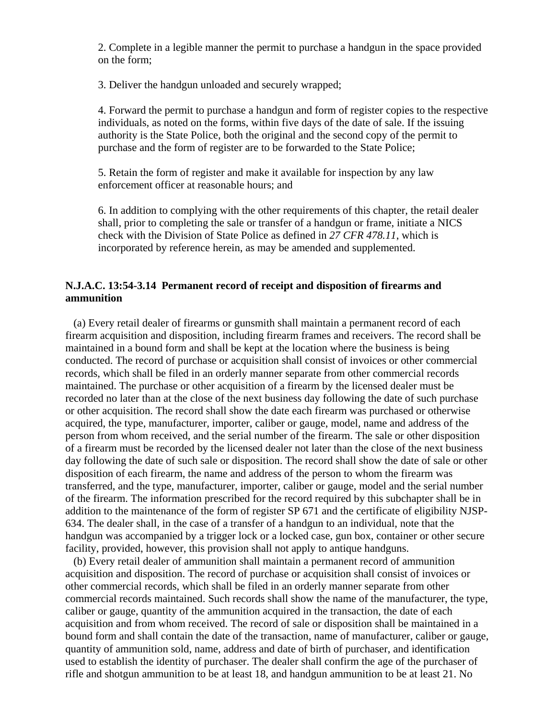2. Complete in a legible manner the permit to purchase a handgun in the space provided on the form;

3. Deliver the handgun unloaded and securely wrapped;

4. Forward the permit to purchase a handgun and form of register copies to the respective individuals, as noted on the forms, within five days of the date of sale. If the issuing authority is the State Police, both the original and the second copy of the permit to purchase and the form of register are to be forwarded to the State Police;

5. Retain the form of register and make it available for inspection by any law enforcement officer at reasonable hours; and

6. In addition to complying with the other requirements of this chapter, the retail dealer shall, prior to completing the sale or transfer of a handgun or frame, initiate a NICS check with the Division of State Police as defined in *27 CFR 478.11*, which is incorporated by reference herein, as may be amended and supplemented.

### **N.J.A.C. 13:54-3.14 Permanent record of receipt and disposition of firearms and ammunition**

 (a) Every retail dealer of firearms or gunsmith shall maintain a permanent record of each firearm acquisition and disposition, including firearm frames and receivers. The record shall be maintained in a bound form and shall be kept at the location where the business is being conducted. The record of purchase or acquisition shall consist of invoices or other commercial records, which shall be filed in an orderly manner separate from other commercial records maintained. The purchase or other acquisition of a firearm by the licensed dealer must be recorded no later than at the close of the next business day following the date of such purchase or other acquisition. The record shall show the date each firearm was purchased or otherwise acquired, the type, manufacturer, importer, caliber or gauge, model, name and address of the person from whom received, and the serial number of the firearm. The sale or other disposition of a firearm must be recorded by the licensed dealer not later than the close of the next business day following the date of such sale or disposition. The record shall show the date of sale or other disposition of each firearm, the name and address of the person to whom the firearm was transferred, and the type, manufacturer, importer, caliber or gauge, model and the serial number of the firearm. The information prescribed for the record required by this subchapter shall be in addition to the maintenance of the form of register SP 671 and the certificate of eligibility NJSP-634. The dealer shall, in the case of a transfer of a handgun to an individual, note that the handgun was accompanied by a trigger lock or a locked case, gun box, container or other secure facility, provided, however, this provision shall not apply to antique handguns.

 (b) Every retail dealer of ammunition shall maintain a permanent record of ammunition acquisition and disposition. The record of purchase or acquisition shall consist of invoices or other commercial records, which shall be filed in an orderly manner separate from other commercial records maintained. Such records shall show the name of the manufacturer, the type, caliber or gauge, quantity of the ammunition acquired in the transaction, the date of each acquisition and from whom received. The record of sale or disposition shall be maintained in a bound form and shall contain the date of the transaction, name of manufacturer, caliber or gauge, quantity of ammunition sold, name, address and date of birth of purchaser, and identification used to establish the identity of purchaser. The dealer shall confirm the age of the purchaser of rifle and shotgun ammunition to be at least 18, and handgun ammunition to be at least 21. No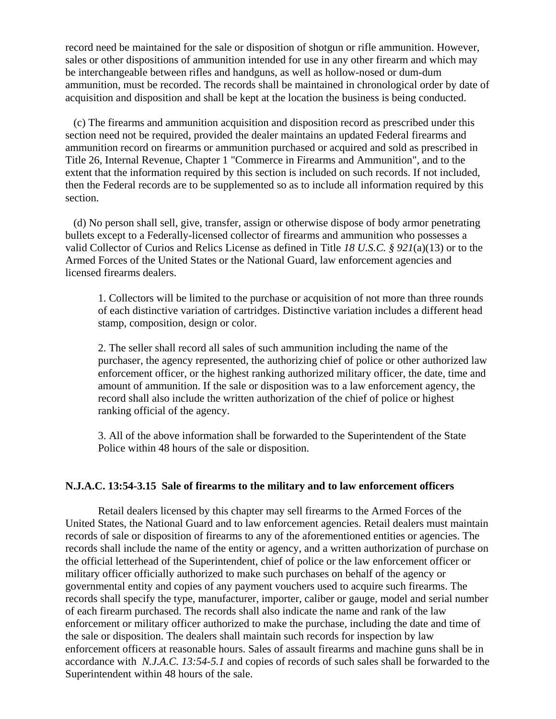record need be maintained for the sale or disposition of shotgun or rifle ammunition. However, sales or other dispositions of ammunition intended for use in any other firearm and which may be interchangeable between rifles and handguns, as well as hollow-nosed or dum-dum ammunition, must be recorded. The records shall be maintained in chronological order by date of acquisition and disposition and shall be kept at the location the business is being conducted.

 (c) The firearms and ammunition acquisition and disposition record as prescribed under this section need not be required, provided the dealer maintains an updated Federal firearms and ammunition record on firearms or ammunition purchased or acquired and sold as prescribed in Title 26, Internal Revenue, Chapter 1 "Commerce in Firearms and Ammunition", and to the extent that the information required by this section is included on such records. If not included, then the Federal records are to be supplemented so as to include all information required by this section.

 (d) No person shall sell, give, transfer, assign or otherwise dispose of body armor penetrating bullets except to a Federally-licensed collector of firearms and ammunition who possesses a valid Collector of Curios and Relics License as defined in Title *18 U.S.C. § 921*(a)(13) or to the Armed Forces of the United States or the National Guard, law enforcement agencies and licensed firearms dealers.

1. Collectors will be limited to the purchase or acquisition of not more than three rounds of each distinctive variation of cartridges. Distinctive variation includes a different head stamp, composition, design or color.

2. The seller shall record all sales of such ammunition including the name of the purchaser, the agency represented, the authorizing chief of police or other authorized law enforcement officer, or the highest ranking authorized military officer, the date, time and amount of ammunition. If the sale or disposition was to a law enforcement agency, the record shall also include the written authorization of the chief of police or highest ranking official of the agency.

3. All of the above information shall be forwarded to the Superintendent of the State Police within 48 hours of the sale or disposition.

#### **N.J.A.C. 13:54-3.15 Sale of firearms to the military and to law enforcement officers**

Retail dealers licensed by this chapter may sell firearms to the Armed Forces of the United States, the National Guard and to law enforcement agencies. Retail dealers must maintain records of sale or disposition of firearms to any of the aforementioned entities or agencies. The records shall include the name of the entity or agency, and a written authorization of purchase on the official letterhead of the Superintendent, chief of police or the law enforcement officer or military officer officially authorized to make such purchases on behalf of the agency or governmental entity and copies of any payment vouchers used to acquire such firearms. The records shall specify the type, manufacturer, importer, caliber or gauge, model and serial number of each firearm purchased. The records shall also indicate the name and rank of the law enforcement or military officer authorized to make the purchase, including the date and time of the sale or disposition. The dealers shall maintain such records for inspection by law enforcement officers at reasonable hours. Sales of assault firearms and machine guns shall be in accordance with *N.J.A.C. 13:54-5.1* and copies of records of such sales shall be forwarded to the Superintendent within 48 hours of the sale.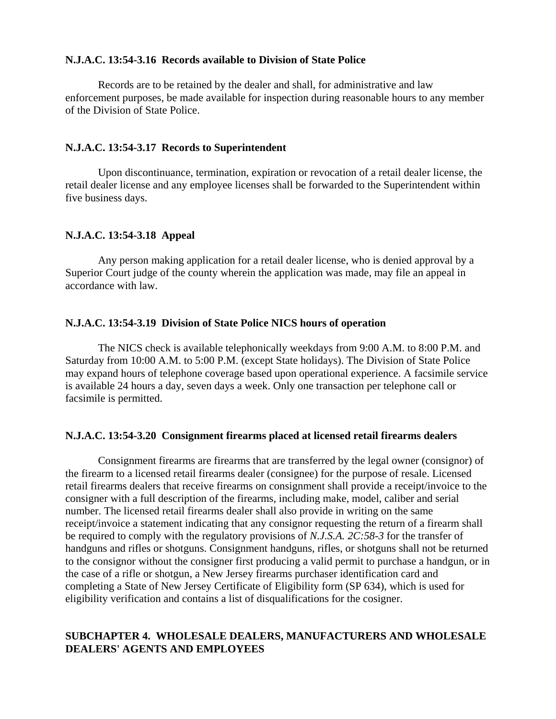### **N.J.A.C. 13:54-3.16 Records available to Division of State Police**

Records are to be retained by the dealer and shall, for administrative and law enforcement purposes, be made available for inspection during reasonable hours to any member of the Division of State Police.

#### **N.J.A.C. 13:54-3.17 Records to Superintendent**

Upon discontinuance, termination, expiration or revocation of a retail dealer license, the retail dealer license and any employee licenses shall be forwarded to the Superintendent within five business days.

# **N.J.A.C. 13:54-3.18 Appeal**

Any person making application for a retail dealer license, who is denied approval by a Superior Court judge of the county wherein the application was made, may file an appeal in accordance with law.

### **N.J.A.C. 13:54-3.19 Division of State Police NICS hours of operation**

The NICS check is available telephonically weekdays from 9:00 A.M. to 8:00 P.M. and Saturday from 10:00 A.M. to 5:00 P.M. (except State holidays). The Division of State Police may expand hours of telephone coverage based upon operational experience. A facsimile service is available 24 hours a day, seven days a week. Only one transaction per telephone call or facsimile is permitted.

### **N.J.A.C. 13:54-3.20 Consignment firearms placed at licensed retail firearms dealers**

Consignment firearms are firearms that are transferred by the legal owner (consignor) of the firearm to a licensed retail firearms dealer (consignee) for the purpose of resale. Licensed retail firearms dealers that receive firearms on consignment shall provide a receipt/invoice to the consigner with a full description of the firearms, including make, model, caliber and serial number. The licensed retail firearms dealer shall also provide in writing on the same receipt/invoice a statement indicating that any consignor requesting the return of a firearm shall be required to comply with the regulatory provisions of *N.J.S.A. 2C:58-3* for the transfer of handguns and rifles or shotguns. Consignment handguns, rifles, or shotguns shall not be returned to the consignor without the consigner first producing a valid permit to purchase a handgun, or in the case of a rifle or shotgun, a New Jersey firearms purchaser identification card and completing a State of New Jersey Certificate of Eligibility form (SP 634), which is used for eligibility verification and contains a list of disqualifications for the cosigner.

## **SUBCHAPTER 4. WHOLESALE DEALERS, MANUFACTURERS AND WHOLESALE DEALERS' AGENTS AND EMPLOYEES**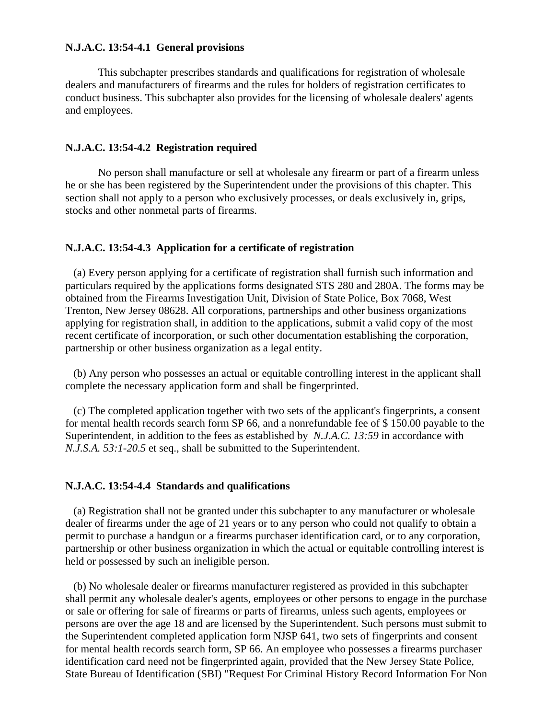#### **N.J.A.C. 13:54-4.1 General provisions**

This subchapter prescribes standards and qualifications for registration of wholesale dealers and manufacturers of firearms and the rules for holders of registration certificates to conduct business. This subchapter also provides for the licensing of wholesale dealers' agents and employees.

### **N.J.A.C. 13:54-4.2 Registration required**

No person shall manufacture or sell at wholesale any firearm or part of a firearm unless he or she has been registered by the Superintendent under the provisions of this chapter. This section shall not apply to a person who exclusively processes, or deals exclusively in, grips, stocks and other nonmetal parts of firearms.

#### **N.J.A.C. 13:54-4.3 Application for a certificate of registration**

 (a) Every person applying for a certificate of registration shall furnish such information and particulars required by the applications forms designated STS 280 and 280A. The forms may be obtained from the Firearms Investigation Unit, Division of State Police, Box 7068, West Trenton, New Jersey 08628. All corporations, partnerships and other business organizations applying for registration shall, in addition to the applications, submit a valid copy of the most recent certificate of incorporation, or such other documentation establishing the corporation, partnership or other business organization as a legal entity.

 (b) Any person who possesses an actual or equitable controlling interest in the applicant shall complete the necessary application form and shall be fingerprinted.

 (c) The completed application together with two sets of the applicant's fingerprints, a consent for mental health records search form SP 66, and a nonrefundable fee of \$ 150.00 payable to the Superintendent, in addition to the fees as established by *N.J.A.C.* 13:59 in accordance with *N.J.S.A. 53:1-20.5* et seq., shall be submitted to the Superintendent.

#### **N.J.A.C. 13:54-4.4 Standards and qualifications**

 (a) Registration shall not be granted under this subchapter to any manufacturer or wholesale dealer of firearms under the age of 21 years or to any person who could not qualify to obtain a permit to purchase a handgun or a firearms purchaser identification card, or to any corporation, partnership or other business organization in which the actual or equitable controlling interest is held or possessed by such an ineligible person.

 (b) No wholesale dealer or firearms manufacturer registered as provided in this subchapter shall permit any wholesale dealer's agents, employees or other persons to engage in the purchase or sale or offering for sale of firearms or parts of firearms, unless such agents, employees or persons are over the age 18 and are licensed by the Superintendent. Such persons must submit to the Superintendent completed application form NJSP 641, two sets of fingerprints and consent for mental health records search form, SP 66. An employee who possesses a firearms purchaser identification card need not be fingerprinted again, provided that the New Jersey State Police, State Bureau of Identification (SBI) "Request For Criminal History Record Information For Non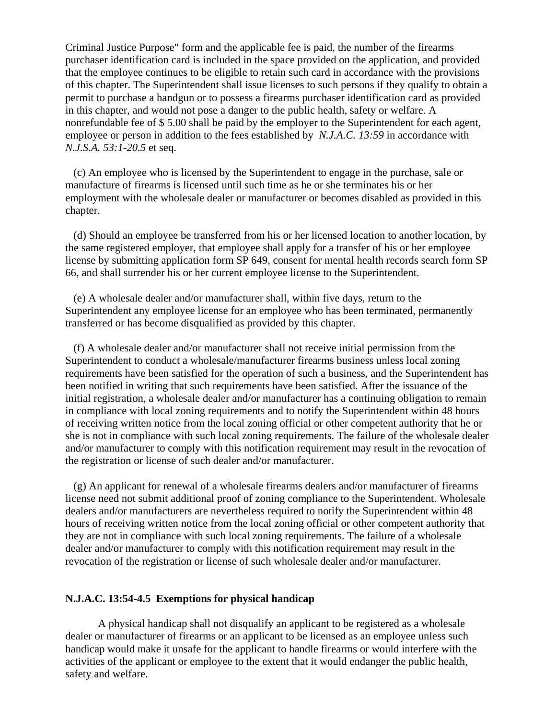Criminal Justice Purpose" form and the applicable fee is paid, the number of the firearms purchaser identification card is included in the space provided on the application, and provided that the employee continues to be eligible to retain such card in accordance with the provisions of this chapter. The Superintendent shall issue licenses to such persons if they qualify to obtain a permit to purchase a handgun or to possess a firearms purchaser identification card as provided in this chapter, and would not pose a danger to the public health, safety or welfare. A nonrefundable fee of \$ 5.00 shall be paid by the employer to the Superintendent for each agent, employee or person in addition to the fees established by *N.J.A.C. 13:59* in accordance with *N.J.S.A. 53:1-20.5* et seq.

 (c) An employee who is licensed by the Superintendent to engage in the purchase, sale or manufacture of firearms is licensed until such time as he or she terminates his or her employment with the wholesale dealer or manufacturer or becomes disabled as provided in this chapter.

 (d) Should an employee be transferred from his or her licensed location to another location, by the same registered employer, that employee shall apply for a transfer of his or her employee license by submitting application form SP 649, consent for mental health records search form SP 66, and shall surrender his or her current employee license to the Superintendent.

 (e) A wholesale dealer and/or manufacturer shall, within five days, return to the Superintendent any employee license for an employee who has been terminated, permanently transferred or has become disqualified as provided by this chapter.

 (f) A wholesale dealer and/or manufacturer shall not receive initial permission from the Superintendent to conduct a wholesale/manufacturer firearms business unless local zoning requirements have been satisfied for the operation of such a business, and the Superintendent has been notified in writing that such requirements have been satisfied. After the issuance of the initial registration, a wholesale dealer and/or manufacturer has a continuing obligation to remain in compliance with local zoning requirements and to notify the Superintendent within 48 hours of receiving written notice from the local zoning official or other competent authority that he or she is not in compliance with such local zoning requirements. The failure of the wholesale dealer and/or manufacturer to comply with this notification requirement may result in the revocation of the registration or license of such dealer and/or manufacturer.

 (g) An applicant for renewal of a wholesale firearms dealers and/or manufacturer of firearms license need not submit additional proof of zoning compliance to the Superintendent. Wholesale dealers and/or manufacturers are nevertheless required to notify the Superintendent within 48 hours of receiving written notice from the local zoning official or other competent authority that they are not in compliance with such local zoning requirements. The failure of a wholesale dealer and/or manufacturer to comply with this notification requirement may result in the revocation of the registration or license of such wholesale dealer and/or manufacturer.

#### **N.J.A.C. 13:54-4.5 Exemptions for physical handicap**

A physical handicap shall not disqualify an applicant to be registered as a wholesale dealer or manufacturer of firearms or an applicant to be licensed as an employee unless such handicap would make it unsafe for the applicant to handle firearms or would interfere with the activities of the applicant or employee to the extent that it would endanger the public health, safety and welfare.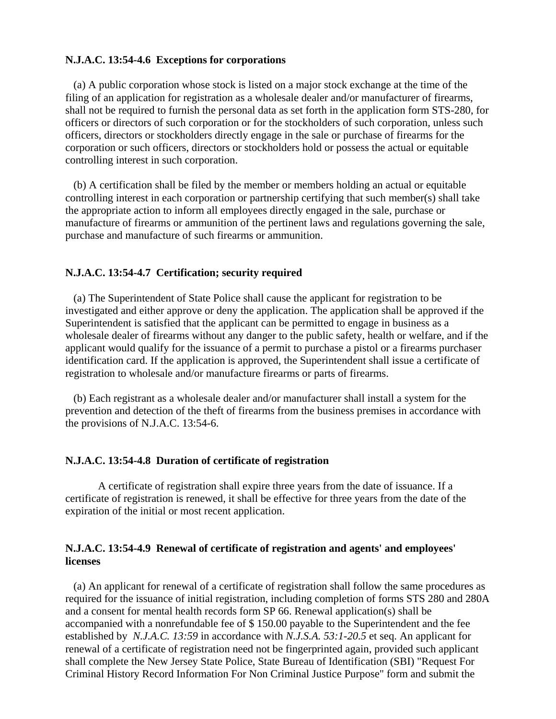#### **N.J.A.C. 13:54-4.6 Exceptions for corporations**

 (a) A public corporation whose stock is listed on a major stock exchange at the time of the filing of an application for registration as a wholesale dealer and/or manufacturer of firearms, shall not be required to furnish the personal data as set forth in the application form STS-280, for officers or directors of such corporation or for the stockholders of such corporation, unless such officers, directors or stockholders directly engage in the sale or purchase of firearms for the corporation or such officers, directors or stockholders hold or possess the actual or equitable controlling interest in such corporation.

 (b) A certification shall be filed by the member or members holding an actual or equitable controlling interest in each corporation or partnership certifying that such member(s) shall take the appropriate action to inform all employees directly engaged in the sale, purchase or manufacture of firearms or ammunition of the pertinent laws and regulations governing the sale, purchase and manufacture of such firearms or ammunition.

#### **N.J.A.C. 13:54-4.7 Certification; security required**

 (a) The Superintendent of State Police shall cause the applicant for registration to be investigated and either approve or deny the application. The application shall be approved if the Superintendent is satisfied that the applicant can be permitted to engage in business as a wholesale dealer of firearms without any danger to the public safety, health or welfare, and if the applicant would qualify for the issuance of a permit to purchase a pistol or a firearms purchaser identification card. If the application is approved, the Superintendent shall issue a certificate of registration to wholesale and/or manufacture firearms or parts of firearms.

 (b) Each registrant as a wholesale dealer and/or manufacturer shall install a system for the prevention and detection of the theft of firearms from the business premises in accordance with the provisions of N.J.A.C. 13:54-6.

#### **N.J.A.C. 13:54-4.8 Duration of certificate of registration**

A certificate of registration shall expire three years from the date of issuance. If a certificate of registration is renewed, it shall be effective for three years from the date of the expiration of the initial or most recent application.

### **N.J.A.C. 13:54-4.9 Renewal of certificate of registration and agents' and employees' licenses**

 (a) An applicant for renewal of a certificate of registration shall follow the same procedures as required for the issuance of initial registration, including completion of forms STS 280 and 280A and a consent for mental health records form SP 66. Renewal application(s) shall be accompanied with a nonrefundable fee of \$ 150.00 payable to the Superintendent and the fee established by *N.J.A.C. 13:59* in accordance with *N.J.S.A. 53:1-20.5* et seq. An applicant for renewal of a certificate of registration need not be fingerprinted again, provided such applicant shall complete the New Jersey State Police, State Bureau of Identification (SBI) "Request For Criminal History Record Information For Non Criminal Justice Purpose" form and submit the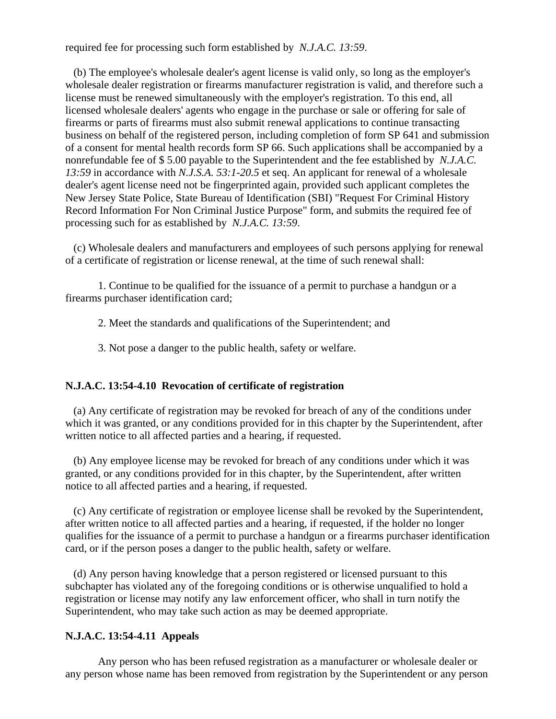required fee for processing such form established by *N.J.A.C. 13:59*.

 (b) The employee's wholesale dealer's agent license is valid only, so long as the employer's wholesale dealer registration or firearms manufacturer registration is valid, and therefore such a license must be renewed simultaneously with the employer's registration. To this end, all licensed wholesale dealers' agents who engage in the purchase or sale or offering for sale of firearms or parts of firearms must also submit renewal applications to continue transacting business on behalf of the registered person, including completion of form SP 641 and submission of a consent for mental health records form SP 66. Such applications shall be accompanied by a nonrefundable fee of \$ 5.00 payable to the Superintendent and the fee established by *N.J.A.C. 13:59* in accordance with *N.J.S.A. 53:1-20.5* et seq. An applicant for renewal of a wholesale dealer's agent license need not be fingerprinted again, provided such applicant completes the New Jersey State Police, State Bureau of Identification (SBI) "Request For Criminal History Record Information For Non Criminal Justice Purpose" form, and submits the required fee of processing such for as established by *N.J.A.C. 13:59*.

 (c) Wholesale dealers and manufacturers and employees of such persons applying for renewal of a certificate of registration or license renewal, at the time of such renewal shall:

1. Continue to be qualified for the issuance of a permit to purchase a handgun or a firearms purchaser identification card;

2. Meet the standards and qualifications of the Superintendent; and

3. Not pose a danger to the public health, safety or welfare.

### **N.J.A.C. 13:54-4.10 Revocation of certificate of registration**

 (a) Any certificate of registration may be revoked for breach of any of the conditions under which it was granted, or any conditions provided for in this chapter by the Superintendent, after written notice to all affected parties and a hearing, if requested.

 (b) Any employee license may be revoked for breach of any conditions under which it was granted, or any conditions provided for in this chapter, by the Superintendent, after written notice to all affected parties and a hearing, if requested.

 (c) Any certificate of registration or employee license shall be revoked by the Superintendent, after written notice to all affected parties and a hearing, if requested, if the holder no longer qualifies for the issuance of a permit to purchase a handgun or a firearms purchaser identification card, or if the person poses a danger to the public health, safety or welfare.

 (d) Any person having knowledge that a person registered or licensed pursuant to this subchapter has violated any of the foregoing conditions or is otherwise unqualified to hold a registration or license may notify any law enforcement officer, who shall in turn notify the Superintendent, who may take such action as may be deemed appropriate.

#### **N.J.A.C. 13:54-4.11 Appeals**

Any person who has been refused registration as a manufacturer or wholesale dealer or any person whose name has been removed from registration by the Superintendent or any person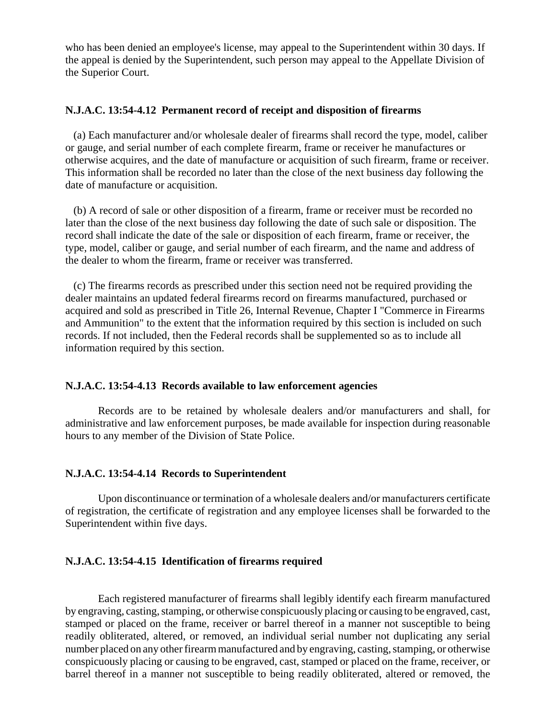who has been denied an employee's license, may appeal to the Superintendent within 30 days. If the appeal is denied by the Superintendent, such person may appeal to the Appellate Division of the Superior Court.

#### **N.J.A.C. 13:54-4.12 Permanent record of receipt and disposition of firearms**

 (a) Each manufacturer and/or wholesale dealer of firearms shall record the type, model, caliber or gauge, and serial number of each complete firearm, frame or receiver he manufactures or otherwise acquires, and the date of manufacture or acquisition of such firearm, frame or receiver. This information shall be recorded no later than the close of the next business day following the date of manufacture or acquisition.

 (b) A record of sale or other disposition of a firearm, frame or receiver must be recorded no later than the close of the next business day following the date of such sale or disposition. The record shall indicate the date of the sale or disposition of each firearm, frame or receiver, the type, model, caliber or gauge, and serial number of each firearm, and the name and address of the dealer to whom the firearm, frame or receiver was transferred.

 (c) The firearms records as prescribed under this section need not be required providing the dealer maintains an updated federal firearms record on firearms manufactured, purchased or acquired and sold as prescribed in Title 26, Internal Revenue, Chapter I "Commerce in Firearms and Ammunition" to the extent that the information required by this section is included on such records. If not included, then the Federal records shall be supplemented so as to include all information required by this section.

#### **N.J.A.C. 13:54-4.13 Records available to law enforcement agencies**

Records are to be retained by wholesale dealers and/or manufacturers and shall, for administrative and law enforcement purposes, be made available for inspection during reasonable hours to any member of the Division of State Police.

#### **N.J.A.C. 13:54-4.14 Records to Superintendent**

Upon discontinuance or termination of a wholesale dealers and/or manufacturers certificate of registration, the certificate of registration and any employee licenses shall be forwarded to the Superintendent within five days.

### **N.J.A.C. 13:54-4.15 Identification of firearms required**

Each registered manufacturer of firearms shall legibly identify each firearm manufactured by engraving, casting, stamping, or otherwise conspicuously placing or causing to be engraved, cast, stamped or placed on the frame, receiver or barrel thereof in a manner not susceptible to being readily obliterated, altered, or removed, an individual serial number not duplicating any serial number placed on any other firearm manufactured and by engraving, casting, stamping, or otherwise conspicuously placing or causing to be engraved, cast, stamped or placed on the frame, receiver, or barrel thereof in a manner not susceptible to being readily obliterated, altered or removed, the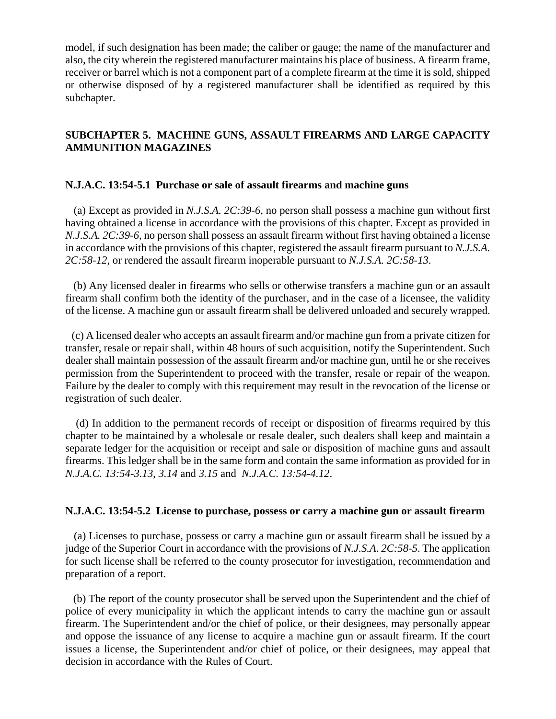model, if such designation has been made; the caliber or gauge; the name of the manufacturer and also, the city wherein the registered manufacturer maintains his place of business. A firearm frame, receiver or barrel which is not a component part of a complete firearm at the time it is sold, shipped or otherwise disposed of by a registered manufacturer shall be identified as required by this subchapter.

# **SUBCHAPTER 5. MACHINE GUNS, ASSAULT FIREARMS AND LARGE CAPACITY AMMUNITION MAGAZINES**

### **N.J.A.C. 13:54-5.1 Purchase or sale of assault firearms and machine guns**

 (a) Except as provided in *N.J.S.A. 2C:39-6*, no person shall possess a machine gun without first having obtained a license in accordance with the provisions of this chapter. Except as provided in *N.J.S.A. 2C:39-6*, no person shall possess an assault firearm without first having obtained a license in accordance with the provisions of this chapter, registered the assault firearm pursuant to *N.J.S.A. 2C:58-12*, or rendered the assault firearm inoperable pursuant to *N.J.S.A. 2C:58-13*.

 (b) Any licensed dealer in firearms who sells or otherwise transfers a machine gun or an assault firearm shall confirm both the identity of the purchaser, and in the case of a licensee, the validity of the license. A machine gun or assault firearm shall be delivered unloaded and securely wrapped.

 (c) A licensed dealer who accepts an assault firearm and/or machine gun from a private citizen for transfer, resale or repair shall, within 48 hours of such acquisition, notify the Superintendent. Such dealer shall maintain possession of the assault firearm and/or machine gun, until he or she receives permission from the Superintendent to proceed with the transfer, resale or repair of the weapon. Failure by the dealer to comply with this requirement may result in the revocation of the license or registration of such dealer.

 (d) In addition to the permanent records of receipt or disposition of firearms required by this chapter to be maintained by a wholesale or resale dealer, such dealers shall keep and maintain a separate ledger for the acquisition or receipt and sale or disposition of machine guns and assault firearms. This ledger shall be in the same form and contain the same information as provided for in *N.J.A.C. 13:54-3.13*, *3.14* and *3.15* and *N.J.A.C. 13:54-4.12*.

#### **N.J.A.C. 13:54-5.2 License to purchase, possess or carry a machine gun or assault firearm**

 (a) Licenses to purchase, possess or carry a machine gun or assault firearm shall be issued by a judge of the Superior Court in accordance with the provisions of *N.J.S.A. 2C:58-5*. The application for such license shall be referred to the county prosecutor for investigation, recommendation and preparation of a report.

 (b) The report of the county prosecutor shall be served upon the Superintendent and the chief of police of every municipality in which the applicant intends to carry the machine gun or assault firearm. The Superintendent and/or the chief of police, or their designees, may personally appear and oppose the issuance of any license to acquire a machine gun or assault firearm. If the court issues a license, the Superintendent and/or chief of police, or their designees, may appeal that decision in accordance with the Rules of Court.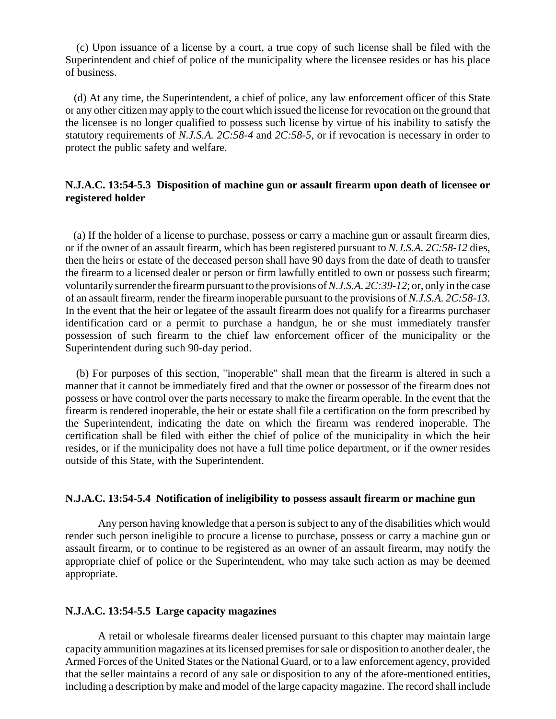(c) Upon issuance of a license by a court, a true copy of such license shall be filed with the Superintendent and chief of police of the municipality where the licensee resides or has his place of business.

 (d) At any time, the Superintendent, a chief of police, any law enforcement officer of this State or any other citizen may apply to the court which issued the license for revocation on the ground that the licensee is no longer qualified to possess such license by virtue of his inability to satisfy the statutory requirements of *N.J.S.A. 2C:58-4* and *2C:58-5*, or if revocation is necessary in order to protect the public safety and welfare.

### **N.J.A.C. 13:54-5.3 Disposition of machine gun or assault firearm upon death of licensee or registered holder**

 (a) If the holder of a license to purchase, possess or carry a machine gun or assault firearm dies, or if the owner of an assault firearm, which has been registered pursuant to *N.J.S.A. 2C:58-12* dies, then the heirs or estate of the deceased person shall have 90 days from the date of death to transfer the firearm to a licensed dealer or person or firm lawfully entitled to own or possess such firearm; voluntarily surrender the firearm pursuant to the provisions of *N.J.S.A. 2C:39-12*; or, only in the case of an assault firearm, render the firearm inoperable pursuant to the provisions of *N.J.S.A. 2C:58-13*. In the event that the heir or legatee of the assault firearm does not qualify for a firearms purchaser identification card or a permit to purchase a handgun, he or she must immediately transfer possession of such firearm to the chief law enforcement officer of the municipality or the Superintendent during such 90-day period.

 (b) For purposes of this section, "inoperable" shall mean that the firearm is altered in such a manner that it cannot be immediately fired and that the owner or possessor of the firearm does not possess or have control over the parts necessary to make the firearm operable. In the event that the firearm is rendered inoperable, the heir or estate shall file a certification on the form prescribed by the Superintendent, indicating the date on which the firearm was rendered inoperable. The certification shall be filed with either the chief of police of the municipality in which the heir resides, or if the municipality does not have a full time police department, or if the owner resides outside of this State, with the Superintendent.

### **N.J.A.C. 13:54-5.4 Notification of ineligibility to possess assault firearm or machine gun**

Any person having knowledge that a person is subject to any of the disabilities which would render such person ineligible to procure a license to purchase, possess or carry a machine gun or assault firearm, or to continue to be registered as an owner of an assault firearm, may notify the appropriate chief of police or the Superintendent, who may take such action as may be deemed appropriate.

#### **N.J.A.C. 13:54-5.5 Large capacity magazines**

A retail or wholesale firearms dealer licensed pursuant to this chapter may maintain large capacity ammunition magazines at its licensed premises for sale or disposition to another dealer, the Armed Forces of the United States or the National Guard, or to a law enforcement agency, provided that the seller maintains a record of any sale or disposition to any of the afore-mentioned entities, including a description by make and model of the large capacity magazine. The record shall include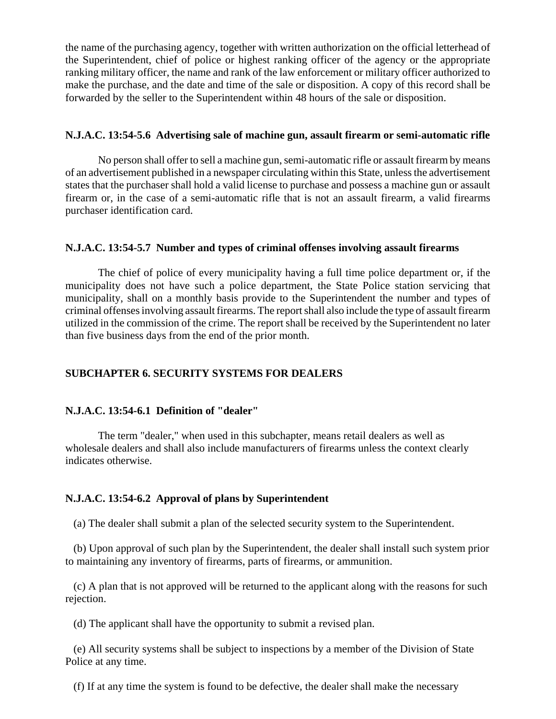the name of the purchasing agency, together with written authorization on the official letterhead of the Superintendent, chief of police or highest ranking officer of the agency or the appropriate ranking military officer, the name and rank of the law enforcement or military officer authorized to make the purchase, and the date and time of the sale or disposition. A copy of this record shall be forwarded by the seller to the Superintendent within 48 hours of the sale or disposition.

### **N.J.A.C. 13:54-5.6 Advertising sale of machine gun, assault firearm or semi-automatic rifle**

No person shall offer to sell a machine gun, semi-automatic rifle or assault firearm by means of an advertisement published in a newspaper circulating within this State, unless the advertisement states that the purchaser shall hold a valid license to purchase and possess a machine gun or assault firearm or, in the case of a semi-automatic rifle that is not an assault firearm, a valid firearms purchaser identification card.

### **N.J.A.C. 13:54-5.7 Number and types of criminal offenses involving assault firearms**

The chief of police of every municipality having a full time police department or, if the municipality does not have such a police department, the State Police station servicing that municipality, shall on a monthly basis provide to the Superintendent the number and types of criminal offenses involving assault firearms. The report shall also include the type of assault firearm utilized in the commission of the crime. The report shall be received by the Superintendent no later than five business days from the end of the prior month.

### **SUBCHAPTER 6. SECURITY SYSTEMS FOR DEALERS**

### **N.J.A.C. 13:54-6.1 Definition of "dealer"**

The term "dealer," when used in this subchapter, means retail dealers as well as wholesale dealers and shall also include manufacturers of firearms unless the context clearly indicates otherwise.

### **N.J.A.C. 13:54-6.2 Approval of plans by Superintendent**

(a) The dealer shall submit a plan of the selected security system to the Superintendent.

 (b) Upon approval of such plan by the Superintendent, the dealer shall install such system prior to maintaining any inventory of firearms, parts of firearms, or ammunition.

 (c) A plan that is not approved will be returned to the applicant along with the reasons for such rejection.

(d) The applicant shall have the opportunity to submit a revised plan.

 (e) All security systems shall be subject to inspections by a member of the Division of State Police at any time.

(f) If at any time the system is found to be defective, the dealer shall make the necessary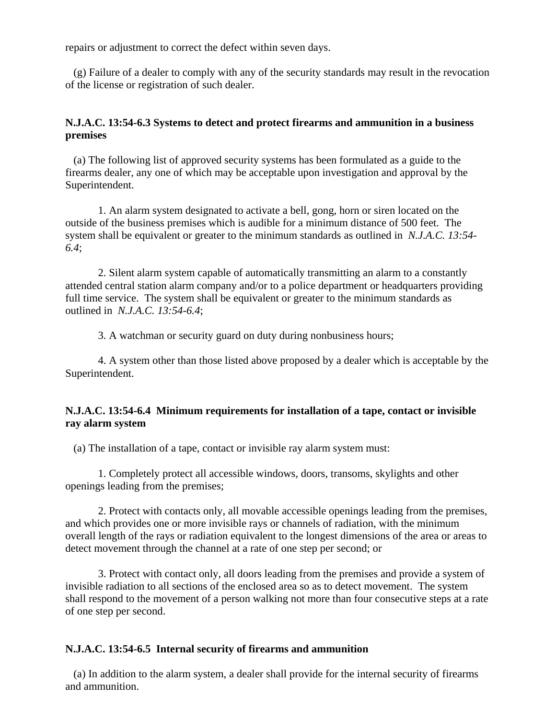repairs or adjustment to correct the defect within seven days.

 (g) Failure of a dealer to comply with any of the security standards may result in the revocation of the license or registration of such dealer.

# **N.J.A.C. 13:54-6.3 Systems to detect and protect firearms and ammunition in a business premises**

 (a) The following list of approved security systems has been formulated as a guide to the firearms dealer, any one of which may be acceptable upon investigation and approval by the Superintendent.

1. An alarm system designated to activate a bell, gong, horn or siren located on the outside of the business premises which is audible for a minimum distance of 500 feet. The system shall be equivalent or greater to the minimum standards as outlined in *N.J.A.C. 13:54- 6.4*;

2. Silent alarm system capable of automatically transmitting an alarm to a constantly attended central station alarm company and/or to a police department or headquarters providing full time service. The system shall be equivalent or greater to the minimum standards as outlined in *N.J.A.C. 13:54-6.4*;

3. A watchman or security guard on duty during nonbusiness hours;

4. A system other than those listed above proposed by a dealer which is acceptable by the Superintendent.

### **N.J.A.C. 13:54-6.4 Minimum requirements for installation of a tape, contact or invisible ray alarm system**

(a) The installation of a tape, contact or invisible ray alarm system must:

1. Completely protect all accessible windows, doors, transoms, skylights and other openings leading from the premises;

2. Protect with contacts only, all movable accessible openings leading from the premises, and which provides one or more invisible rays or channels of radiation, with the minimum overall length of the rays or radiation equivalent to the longest dimensions of the area or areas to detect movement through the channel at a rate of one step per second; or

3. Protect with contact only, all doors leading from the premises and provide a system of invisible radiation to all sections of the enclosed area so as to detect movement. The system shall respond to the movement of a person walking not more than four consecutive steps at a rate of one step per second.

### **N.J.A.C. 13:54-6.5 Internal security of firearms and ammunition**

 (a) In addition to the alarm system, a dealer shall provide for the internal security of firearms and ammunition.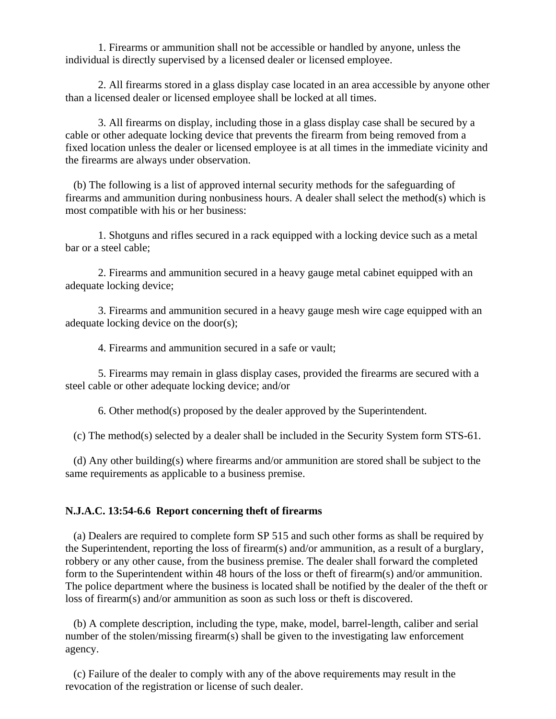1. Firearms or ammunition shall not be accessible or handled by anyone, unless the individual is directly supervised by a licensed dealer or licensed employee.

2. All firearms stored in a glass display case located in an area accessible by anyone other than a licensed dealer or licensed employee shall be locked at all times.

3. All firearms on display, including those in a glass display case shall be secured by a cable or other adequate locking device that prevents the firearm from being removed from a fixed location unless the dealer or licensed employee is at all times in the immediate vicinity and the firearms are always under observation.

 (b) The following is a list of approved internal security methods for the safeguarding of firearms and ammunition during nonbusiness hours. A dealer shall select the method(s) which is most compatible with his or her business:

1. Shotguns and rifles secured in a rack equipped with a locking device such as a metal bar or a steel cable;

2. Firearms and ammunition secured in a heavy gauge metal cabinet equipped with an adequate locking device;

3. Firearms and ammunition secured in a heavy gauge mesh wire cage equipped with an adequate locking device on the door(s);

4. Firearms and ammunition secured in a safe or vault;

5. Firearms may remain in glass display cases, provided the firearms are secured with a steel cable or other adequate locking device; and/or

6. Other method(s) proposed by the dealer approved by the Superintendent.

(c) The method(s) selected by a dealer shall be included in the Security System form STS-61.

 (d) Any other building(s) where firearms and/or ammunition are stored shall be subject to the same requirements as applicable to a business premise.

### **N.J.A.C. 13:54-6.6 Report concerning theft of firearms**

 (a) Dealers are required to complete form SP 515 and such other forms as shall be required by the Superintendent, reporting the loss of firearm(s) and/or ammunition, as a result of a burglary, robbery or any other cause, from the business premise. The dealer shall forward the completed form to the Superintendent within 48 hours of the loss or theft of firearm(s) and/or ammunition. The police department where the business is located shall be notified by the dealer of the theft or loss of firearm(s) and/or ammunition as soon as such loss or theft is discovered.

 (b) A complete description, including the type, make, model, barrel-length, caliber and serial number of the stolen/missing firearm(s) shall be given to the investigating law enforcement agency.

 (c) Failure of the dealer to comply with any of the above requirements may result in the revocation of the registration or license of such dealer.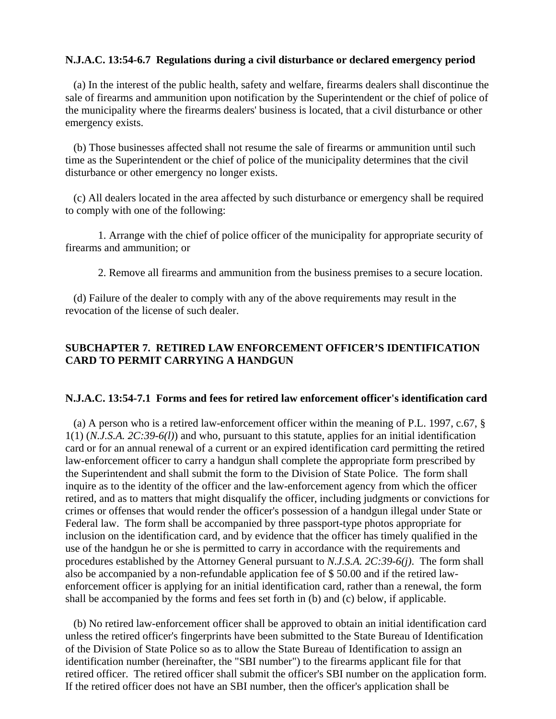### **N.J.A.C. 13:54-6.7 Regulations during a civil disturbance or declared emergency period**

 (a) In the interest of the public health, safety and welfare, firearms dealers shall discontinue the sale of firearms and ammunition upon notification by the Superintendent or the chief of police of the municipality where the firearms dealers' business is located, that a civil disturbance or other emergency exists.

 (b) Those businesses affected shall not resume the sale of firearms or ammunition until such time as the Superintendent or the chief of police of the municipality determines that the civil disturbance or other emergency no longer exists.

 (c) All dealers located in the area affected by such disturbance or emergency shall be required to comply with one of the following:

1. Arrange with the chief of police officer of the municipality for appropriate security of firearms and ammunition; or

2. Remove all firearms and ammunition from the business premises to a secure location.

 (d) Failure of the dealer to comply with any of the above requirements may result in the revocation of the license of such dealer.

## **SUBCHAPTER 7. RETIRED LAW ENFORCEMENT OFFICER'S IDENTIFICATION CARD TO PERMIT CARRYING A HANDGUN**

#### **N.J.A.C. 13:54-7.1 Forms and fees for retired law enforcement officer's identification card**

 (a) A person who is a retired law-enforcement officer within the meaning of P.L. 1997, c.67, § 1(1) (*N.J.S.A. 2C:39-6(l)*) and who, pursuant to this statute, applies for an initial identification card or for an annual renewal of a current or an expired identification card permitting the retired law-enforcement officer to carry a handgun shall complete the appropriate form prescribed by the Superintendent and shall submit the form to the Division of State Police. The form shall inquire as to the identity of the officer and the law-enforcement agency from which the officer retired, and as to matters that might disqualify the officer, including judgments or convictions for crimes or offenses that would render the officer's possession of a handgun illegal under State or Federal law. The form shall be accompanied by three passport-type photos appropriate for inclusion on the identification card, and by evidence that the officer has timely qualified in the use of the handgun he or she is permitted to carry in accordance with the requirements and procedures established by the Attorney General pursuant to *N.J.S.A. 2C:39-6(j)*. The form shall also be accompanied by a non-refundable application fee of \$ 50.00 and if the retired lawenforcement officer is applying for an initial identification card, rather than a renewal, the form shall be accompanied by the forms and fees set forth in (b) and (c) below, if applicable.

 (b) No retired law-enforcement officer shall be approved to obtain an initial identification card unless the retired officer's fingerprints have been submitted to the State Bureau of Identification of the Division of State Police so as to allow the State Bureau of Identification to assign an identification number (hereinafter, the "SBI number") to the firearms applicant file for that retired officer. The retired officer shall submit the officer's SBI number on the application form. If the retired officer does not have an SBI number, then the officer's application shall be